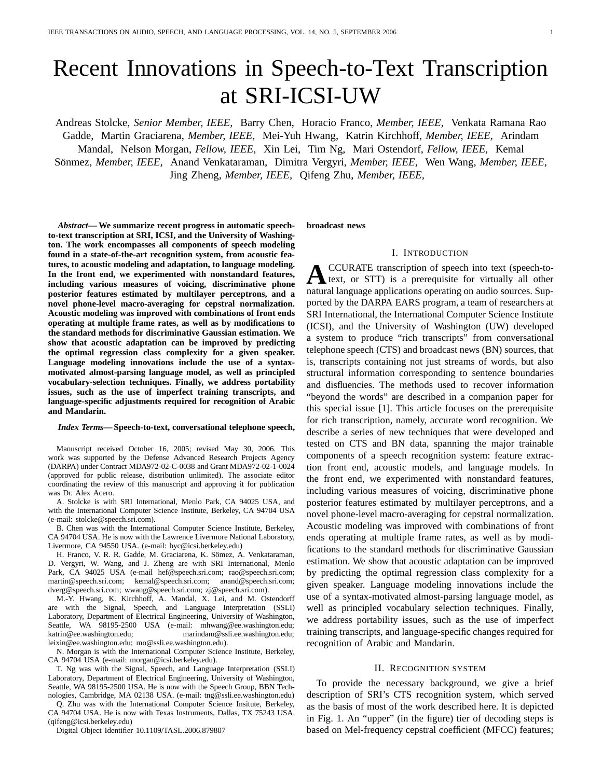# Recent Innovations in Speech-to-Text Transcription at SRI-ICSI-UW

Andreas Stolcke, *Senior Member, IEEE,* Barry Chen, Horacio Franco, *Member, IEEE,* Venkata Ramana Rao Gadde, Martin Graciarena, *Member, IEEE,* Mei-Yuh Hwang, Katrin Kirchhoff, *Member, IEEE,* Arindam Mandal, Nelson Morgan, *Fellow, IEEE,* Xin Lei, Tim Ng, Mari Ostendorf, *Fellow, IEEE,* Kemal S¨onmez, *Member, IEEE,* Anand Venkataraman, Dimitra Vergyri, *Member, IEEE,* Wen Wang, *Member, IEEE,* Jing Zheng, *Member, IEEE,* Qifeng Zhu, *Member, IEEE,*

*Abstract***— We summarize recent progress in automatic speechto-text transcription at SRI, ICSI, and the University of Washington. The work encompasses all components of speech modeling found in a state-of-the-art recognition system, from acoustic features, to acoustic modeling and adaptation, to language modeling. In the front end, we experimented with nonstandard features, including various measures of voicing, discriminative phone posterior features estimated by multilayer perceptrons, and a novel phone-level macro-averaging for cepstral normalization. Acoustic modeling was improved with combinations of front ends operating at multiple frame rates, as well as by modifications to the standard methods for discriminative Gaussian estimation. We show that acoustic adaptation can be improved by predicting the optimal regression class complexity for a given speaker. Language modeling innovations include the use of a syntaxmotivated almost-parsing language model, as well as principled vocabulary-selection techniques. Finally, we address portability issues, such as the use of imperfect training transcripts, and language-specific adjustments required for recognition of Arabic and Mandarin.**

#### *Index Terms***— Speech-to-text, conversational telephone speech,**

Manuscript received October 16, 2005; revised May 30, 2006. This work was supported by the Defense Advanced Research Projects Agency (DARPA) under Contract MDA972-02-C-0038 and Grant MDA972-02-1-0024 (approved for public release, distribution unlimited). The associate editor coordinating the review of this manuscript and approving it for publication was Dr. Alex Acero.

A. Stolcke is with SRI International, Menlo Park, CA 94025 USA, and with the International Computer Science Institute, Berkeley, CA 94704 USA (e-mail: stolcke@speech.sri.com).

B. Chen was with the International Computer Science Institute, Berkeley, CA 94704 USA. He is now with the Lawrence Livermore National Laboratory, Livermore, CA 94550 USA. (e-mail: byc@icsi.berkeley.edu)

H. Franco, V. R. R. Gadde, M. Graciarena, K. Sömez, A. Venkataraman, D. Vergyri, W. Wang, and J. Zheng are with SRI International, Menlo Park, CA 94025 USA (e-mail hef@speech.sri.com; rao@speech.sri.com; martin@speech.sri.com; kemal@speech.sri.com; anand@speech.sri.com; dverg@speech.sri.com; wwang@speech.sri.com; zj@speech.sri.com).

M.-Y. Hwang, K. Kirchhoff, A. Mandal, X. Lei, and M. Ostendorff are with the Signal, Speech, and Language Interpretation (SSLI) Laboratory, Department of Electrical Engineering, University of Washington, Seattle, WA 98195-2500 USA (e-mail: mhwang@ee.washington.edu; katrin@ee.washington.edu; marindam@ssli.ee.washington.edu; leixin@ee.washington.edu; mo@ssli.ee.washington.edu).

N. Morgan is with the International Computer Science Institute, Berkeley, CA 94704 USA (e-mail: morgan@icsi.berkeley.edu).

T. Ng was with the Signal, Speech, and Language Interpretation (SSLI) Laboratory, Department of Electrical Engineering, University of Washington, Seattle, WA 98195-2500 USA. He is now with the Speech Group, BBN Technologies, Cambridge, MA 02138 USA. (e-mail: tng@ssli.ee.washington.edu)

Q. Zhu was with the International Computer Science Insitute, Berkeley, CA 94704 USA. He is now with Texas Instruments, Dallas, TX 75243 USA. (qifeng@icsi.berkeley.edu)

Digital Object Identifier 10.1109/TASL.2006.879807

**broadcast news**

#### I. INTRODUCTION

**A** CCURATE transcription of speech into text (speech-to-<br>natural language applications operating on audio sources. Sup-CCURATE transcription of speech into text (speech-totext, or STT) is a prerequisite for virtually all other ported by the DARPA EARS program, a team of researchers at SRI International, the International Computer Science Institute (ICSI), and the University of Washington (UW) developed a system to produce "rich transcripts" from conversational telephone speech (CTS) and broadcast news (BN) sources, that is, transcripts containing not just streams of words, but also structural information corresponding to sentence boundaries and disfluencies. The methods used to recover information "beyond the words" are described in a companion paper for this special issue [1]. This article focuses on the prerequisite for rich transcription, namely, accurate word recognition. We describe a series of new techniques that were developed and tested on CTS and BN data, spanning the major trainable components of a speech recognition system: feature extraction front end, acoustic models, and language models. In the front end, we experimented with nonstandard features, including various measures of voicing, discriminative phone posterior features estimated by multilayer perceptrons, and a novel phone-level macro-averaging for cepstral normalization. Acoustic modeling was improved with combinations of front ends operating at multiple frame rates, as well as by modifications to the standard methods for discriminative Gaussian estimation. We show that acoustic adaptation can be improved by predicting the optimal regression class complexity for a given speaker. Language modeling innovations include the use of a syntax-motivated almost-parsing language model, as well as principled vocabulary selection techniques. Finally, we address portability issues, such as the use of imperfect training transcripts, and language-specific changes required for recognition of Arabic and Mandarin.

# II. RECOGNITION SYSTEM

To provide the necessary background, we give a brief description of SRI's CTS recognition system, which served as the basis of most of the work described here. It is depicted in Fig. 1. An "upper" (in the figure) tier of decoding steps is based on Mel-frequency cepstral coefficient (MFCC) features;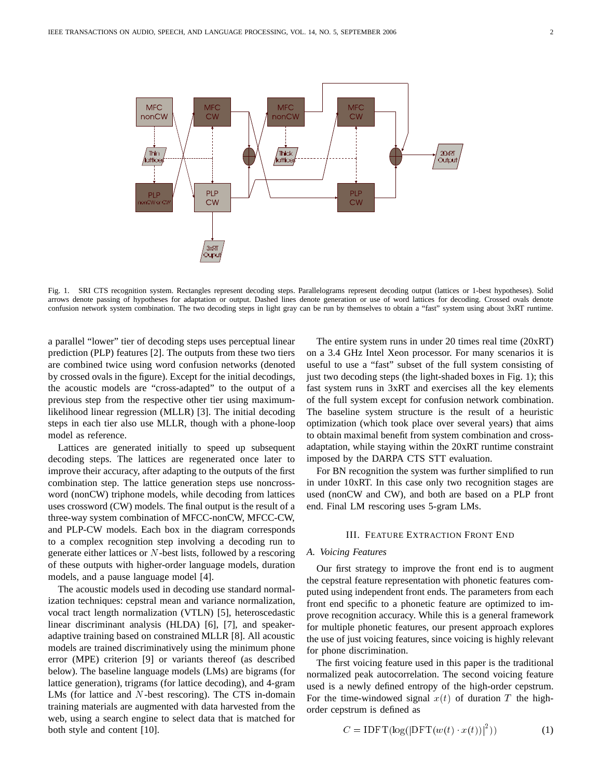

Fig. 1. SRI CTS recognition system. Rectangles represent decoding steps. Parallelograms represent decoding output (lattices or 1-best hypotheses). Solid arrows denote passing of hypotheses for adaptation or output. Dashed lines denote generation or use of word lattices for decoding. Crossed ovals denote confusion network system combination. The two decoding steps in light gray can be run by themselves to obtain a "fast" system using about 3xRT runtime.

a parallel "lower" tier of decoding steps uses perceptual linear prediction (PLP) features [2]. The outputs from these two tiers are combined twice using word confusion networks (denoted by crossed ovals in the figure). Except for the initial decodings, the acoustic models are "cross-adapted" to the output of a previous step from the respective other tier using maximumlikelihood linear regression (MLLR) [3]. The initial decoding steps in each tier also use MLLR, though with a phone-loop model as reference.

Lattices are generated initially to speed up subsequent decoding steps. The lattices are regenerated once later to improve their accuracy, after adapting to the outputs of the first combination step. The lattice generation steps use noncrossword (nonCW) triphone models, while decoding from lattices uses crossword (CW) models. The final output is the result of a three-way system combination of MFCC-nonCW, MFCC-CW, and PLP-CW models. Each box in the diagram corresponds to a complex recognition step involving a decoding run to generate either lattices or  $N$ -best lists, followed by a rescoring of these outputs with higher-order language models, duration models, and a pause language model [4].

The acoustic models used in decoding use standard normalization techniques: cepstral mean and variance normalization, vocal tract length normalization (VTLN) [5], heteroscedastic linear discriminant analysis (HLDA) [6], [7], and speakeradaptive training based on constrained MLLR [8]. All acoustic models are trained discriminatively using the minimum phone error (MPE) criterion [9] or variants thereof (as described below). The baseline language models (LMs) are bigrams (for lattice generation), trigrams (for lattice decoding), and 4-gram LMs (for lattice and <sup>N</sup>-best rescoring). The CTS in-domain training materials are augmented with data harvested from the web, using a search engine to select data that is matched for both style and content [10].

The entire system runs in under 20 times real time (20xRT) on a 3.4 GHz Intel Xeon processor. For many scenarios it is useful to use a "fast" subset of the full system consisting of just two decoding steps (the light-shaded boxes in Fig. 1); this fast system runs in 3xRT and exercises all the key elements of the full system except for confusion network combination. The baseline system structure is the result of a heuristic optimization (which took place over several years) that aims to obtain maximal benefit from system combination and crossadaptation, while staying within the 20xRT runtime constraint imposed by the DARPA CTS STT evaluation.

For BN recognition the system was further simplified to run in under 10xRT. In this case only two recognition stages are used (nonCW and CW), and both are based on a PLP front end. Final LM rescoring uses 5-gram LMs.

# III. FEATURE EXTRACTION FRONT END

# *A. Voicing Features*

Our first strategy to improve the front end is to augment the cepstral feature representation with phonetic features computed using independent front ends. The parameters from each front end specific to a phonetic feature are optimized to improve recognition accuracy. While this is a general framework for multiple phonetic features, our present approach explores the use of just voicing features, since voicing is highly relevant for phone discrimination.

The first voicing feature used in this paper is the traditional normalized peak autocorrelation. The second voicing feature used is a newly defined entropy of the high-order cepstrum. For the time-windowed signal  $x(t)$  of duration T the highorder cepstrum is defined as

$$
C = \text{IDFT}(\log(|\text{DFT}(w(t) \cdot x(t))|^2))\tag{1}
$$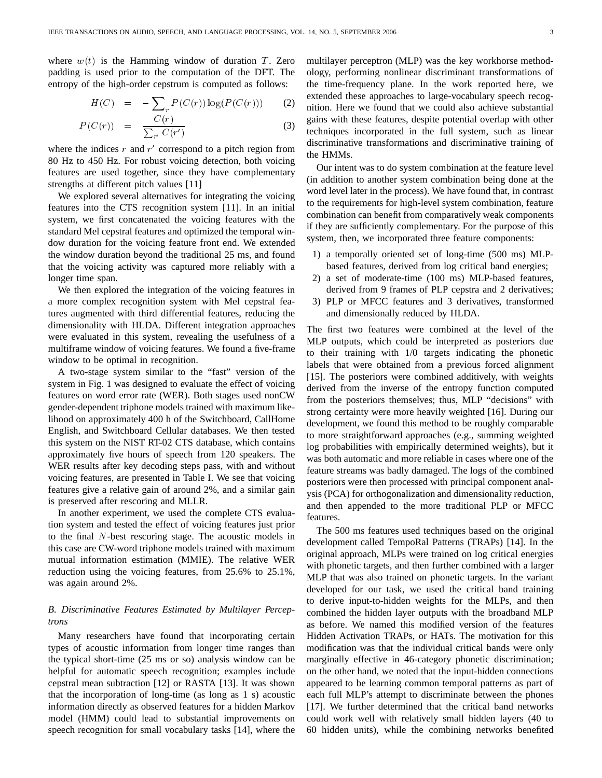where  $w(t)$  is the Hamming window of duration T. Zero padding is used prior to the computation of the DFT. The entropy of the high-order cepstrum is computed as follows:

$$
H(C) = -\sum_{r \in C} P(C(r)) \log(P(C(r))) \tag{2}
$$

$$
P(C(r)) = \frac{C(r)}{\sum_{r'} C(r')}
$$
\n(3)

where the indices  $r$  and  $r'$  correspond to a pitch region from 80 Hz to 450 Hz. For robust voicing detection, both voicing features are used together, since they have complementary strengths at different pitch values [11]

We explored several alternatives for integrating the voicing features into the CTS recognition system [11]. In an initial system, we first concatenated the voicing features with the standard Mel cepstral features and optimized the temporal window duration for the voicing feature front end. We extended the window duration beyond the traditional 25 ms, and found that the voicing activity was captured more reliably with a longer time span.

We then explored the integration of the voicing features in a more complex recognition system with Mel cepstral features augmented with third differential features, reducing the dimensionality with HLDA. Different integration approaches were evaluated in this system, revealing the usefulness of a multiframe window of voicing features. We found a five-frame window to be optimal in recognition.

A two-stage system similar to the "fast" version of the system in Fig. 1 was designed to evaluate the effect of voicing features on word error rate (WER). Both stages used nonCW gender-dependent triphone models trained with maximum likelihood on approximately 400 h of the Switchboard, CallHome English, and Switchboard Cellular databases. We then tested this system on the NIST RT-02 CTS database, which contains approximately five hours of speech from 120 speakers. The WER results after key decoding steps pass, with and without voicing features, are presented in Table I. We see that voicing features give a relative gain of around 2%, and a similar gain is preserved after rescoring and MLLR.

In another experiment, we used the complete CTS evaluation system and tested the effect of voicing features just prior to the final <sup>N</sup>-best rescoring stage. The acoustic models in this case are CW-word triphone models trained with maximum mutual information estimation (MMIE). The relative WER reduction using the voicing features, from 25.6% to 25.1%, was again around 2%.

# *B. Discriminative Features Estimated by Multilayer Perceptrons*

Many researchers have found that incorporating certain types of acoustic information from longer time ranges than the typical short-time (25 ms or so) analysis window can be helpful for automatic speech recognition; examples include cepstral mean subtraction [12] or RASTA [13]. It was shown that the incorporation of long-time (as long as 1 s) acoustic information directly as observed features for a hidden Markov model (HMM) could lead to substantial improvements on speech recognition for small vocabulary tasks [14], where the

multilayer perceptron (MLP) was the key workhorse methodology, performing nonlinear discriminant transformations of the time-frequency plane. In the work reported here, we extended these approaches to large-vocabulary speech recognition. Here we found that we could also achieve substantial gains with these features, despite potential overlap with other techniques incorporated in the full system, such as linear discriminative transformations and discriminative training of the HMMs.

Our intent was to do system combination at the feature level (in addition to another system combination being done at the word level later in the process). We have found that, in contrast to the requirements for high-level system combination, feature combination can benefit from comparatively weak components if they are sufficiently complementary. For the purpose of this system, then, we incorporated three feature components:

- 1) a temporally oriented set of long-time (500 ms) MLPbased features, derived from log critical band energies;
- 2) a set of moderate-time (100 ms) MLP-based features, derived from 9 frames of PLP cepstra and 2 derivatives;
- 3) PLP or MFCC features and 3 derivatives, transformed and dimensionally reduced by HLDA.

The first two features were combined at the level of the MLP outputs, which could be interpreted as posteriors due to their training with 1/0 targets indicating the phonetic labels that were obtained from a previous forced alignment [15]. The posteriors were combined additively, with weights derived from the inverse of the entropy function computed from the posteriors themselves; thus, MLP "decisions" with strong certainty were more heavily weighted [16]. During our development, we found this method to be roughly comparable to more straightforward approaches (e.g., summing weighted log probabilities with empirically determined weights), but it was both automatic and more reliable in cases where one of the feature streams was badly damaged. The logs of the combined posteriors were then processed with principal component analysis (PCA) for orthogonalization and dimensionality reduction, and then appended to the more traditional PLP or MFCC features.

The 500 ms features used techniques based on the original development called TempoRal Patterns (TRAPs) [14]. In the original approach, MLPs were trained on log critical energies with phonetic targets, and then further combined with a larger MLP that was also trained on phonetic targets. In the variant developed for our task, we used the critical band training to derive input-to-hidden weights for the MLPs, and then combined the hidden layer outputs with the broadband MLP as before. We named this modified version of the features Hidden Activation TRAPs, or HATs. The motivation for this modification was that the individual critical bands were only marginally effective in 46-category phonetic discrimination; on the other hand, we noted that the input-hidden connections appeared to be learning common temporal patterns as part of each full MLP's attempt to discriminate between the phones [17]. We further determined that the critical band networks could work well with relatively small hidden layers (40 to 60 hidden units), while the combining networks benefited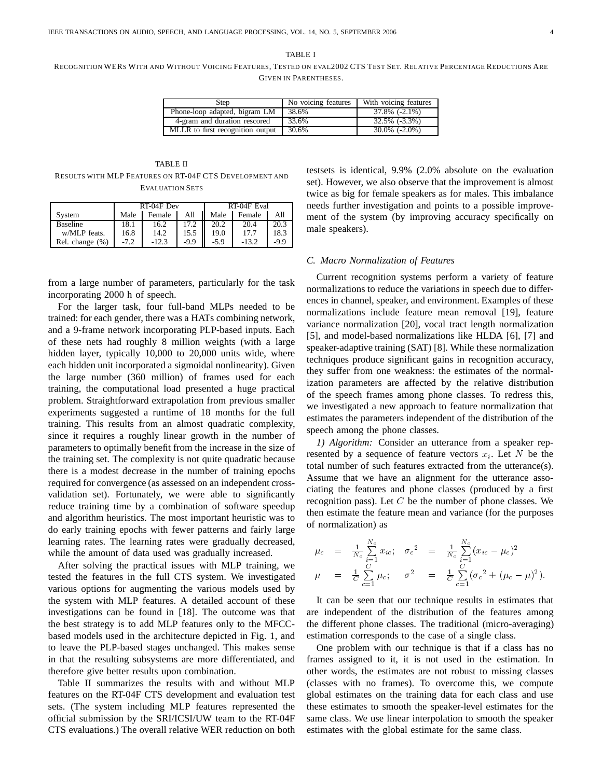#### TABLE I

RECOGNITION WERS WITH AND WITHOUT VOICING FEATURES, TESTED ON EVAL2002 CTS TEST SET. RELATIVE PERCENTAGE REDUCTIONS ARE GIVEN IN PARENTHESES.

| Sten                               | No voicing features | With voicing features |
|------------------------------------|---------------------|-----------------------|
| Phone-loop adapted, bigram LM      | 38.6%               | $37.8\%$ (-2.1%)      |
| 4-gram and duration rescored       | 33.6%               | $32.5\%$ (-3.3%)      |
| $MLLR$ to first recognition output | 30.6%               | $30.0\%$ (-2.0%)      |

TABLE II RESULTS WITH MLP FEATURES ON RT-04F CTS DEVELOPMENT AND EVALUATION SETS

|                    | RT-04F Dev |         |      | RT-04F Eval |         |        |
|--------------------|------------|---------|------|-------------|---------|--------|
| System             | Male       | Female  | All  | Male        | Female  | A11    |
| <b>Baseline</b>    | 18.1       | 16.2    | 17.2 | 20.2        | 20.4    | 20.3   |
| w/MLP feats.       | 16.8       | 14.2    | 15.5 | 19.0        | 17.7    | 18.3   |
| Rel. change $(\%)$ | $-7.2$     | $-12.3$ | -9.9 | $-5.9$      | $-13.2$ | $-9.9$ |

from a large number of parameters, particularly for the task incorporating 2000 h of speech.

For the larger task, four full-band MLPs needed to be trained: for each gender, there was a HATs combining network, and a 9-frame network incorporating PLP-based inputs. Each of these nets had roughly 8 million weights (with a large hidden layer, typically 10,000 to 20,000 units wide, where each hidden unit incorporated a sigmoidal nonlinearity). Given the large number (360 million) of frames used for each training, the computational load presented a huge practical problem. Straightforward extrapolation from previous smaller experiments suggested a runtime of 18 months for the full training. This results from an almost quadratic complexity, since it requires a roughly linear growth in the number of parameters to optimally benefit from the increase in the size of the training set. The complexity is not quite quadratic because there is a modest decrease in the number of training epochs required for convergence (as assessed on an independent crossvalidation set). Fortunately, we were able to significantly reduce training time by a combination of software speedup and algorithm heuristics. The most important heuristic was to do early training epochs with fewer patterns and fairly large learning rates. The learning rates were gradually decreased, while the amount of data used was gradually increased.

After solving the practical issues with MLP training, we tested the features in the full CTS system. We investigated various options for augmenting the various models used by the system with MLP features. A detailed account of these investigations can be found in [18]. The outcome was that the best strategy is to add MLP features only to the MFCCbased models used in the architecture depicted in Fig. 1, and to leave the PLP-based stages unchanged. This makes sense in that the resulting subsystems are more differentiated, and therefore give better results upon combination.

Table II summarizes the results with and without MLP features on the RT-04F CTS development and evaluation test sets. (The system including MLP features represented the official submission by the SRI/ICSI/UW team to the RT-04F CTS evaluations.) The overall relative WER reduction on both testsets is identical, 9.9% (2.0% absolute on the evaluation set). However, we also observe that the improvement is almost twice as big for female speakers as for males. This imbalance needs further investigation and points to a possible improvement of the system (by improving accuracy specifically on male speakers).

#### *C. Macro Normalization of Features*

Current recognition systems perform a variety of feature normalizations to reduce the variations in speech due to differences in channel, speaker, and environment. Examples of these normalizations include feature mean removal [19], feature variance normalization [20], vocal tract length normalization [5], and model-based normalizations like HLDA [6], [7] and speaker-adaptive training (SAT) [8]. While these normalization techniques produce significant gains in recognition accuracy, they suffer from one weakness: the estimates of the normalization parameters are affected by the relative distribution of the speech frames among phone classes. To redress this, we investigated a new approach to feature normalization that estimates the parameters independent of the distribution of the speech among the phone classes.

*1) Algorithm:* Consider an utterance from a speaker represented by a sequence of feature vectors  $x_i$ . Let N be the total number of such features extracted from the utterance(s). Assume that we have an alignment for the utterance associating the features and phone classes (produced by a first recognition pass). Let  $C$  be the number of phone classes. We then estimate the feature mean and variance (for the purposes of normalization) as

$$
\mu_c = \frac{1}{N_c} \sum_{i=1}^{N_c} x_{ic}; \quad \sigma_c^2 = \frac{1}{N_c} \sum_{i=1}^{N_c} (x_{ic} - \mu_c)^2 \n\mu = \frac{1}{C} \sum_{c=1}^{C} \mu_c; \quad \sigma^2 = \frac{1}{C} \sum_{c=1}^{C} (\sigma_c^2 + (\mu_c - \mu)^2).
$$

It can be seen that our technique results in estimates that are independent of the distribution of the features among the different phone classes. The traditional (micro-averaging) estimation corresponds to the case of a single class.

One problem with our technique is that if a class has no frames assigned to it, it is not used in the estimation. In other words, the estimates are not robust to missing classes (classes with no frames). To overcome this, we compute global estimates on the training data for each class and use these estimates to smooth the speaker-level estimates for the same class. We use linear interpolation to smooth the speaker estimates with the global estimate for the same class.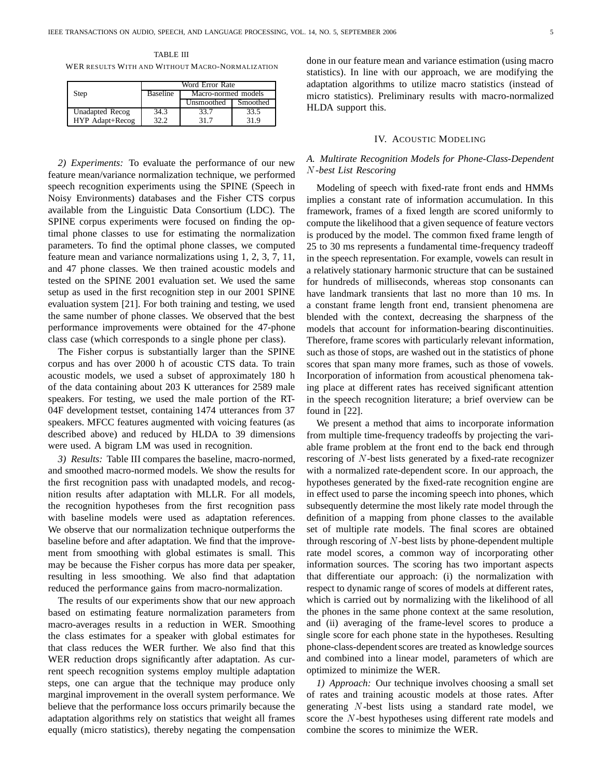TABLE III WER RESULTS WITH AND WITHOUT MACRO-NORMALIZATION

|                        | Word Error Rate |                     |          |  |  |
|------------------------|-----------------|---------------------|----------|--|--|
| Step                   | Baseline        | Macro-normed models |          |  |  |
|                        |                 | Unsmoothed          | Smoothed |  |  |
| <b>Unadapted Recog</b> | 34.3            | 33.7                | 33.5     |  |  |
| HYP Adapt+Recog        | 32.2            | 31.7                | 31.9     |  |  |

*2) Experiments:* To evaluate the performance of our new feature mean/variance normalization technique, we performed speech recognition experiments using the SPINE (Speech in Noisy Environments) databases and the Fisher CTS corpus available from the Linguistic Data Consortium (LDC). The SPINE corpus experiments were focused on finding the optimal phone classes to use for estimating the normalization parameters. To find the optimal phone classes, we computed feature mean and variance normalizations using 1, 2, 3, 7, 11, and 47 phone classes. We then trained acoustic models and tested on the SPINE 2001 evaluation set. We used the same setup as used in the first recognition step in our 2001 SPINE evaluation system [21]. For both training and testing, we used the same number of phone classes. We observed that the best performance improvements were obtained for the 47-phone class case (which corresponds to a single phone per class).

The Fisher corpus is substantially larger than the SPINE corpus and has over 2000 h of acoustic CTS data. To train acoustic models, we used a subset of approximately 180 h of the data containing about 203 K utterances for 2589 male speakers. For testing, we used the male portion of the RT-04F development testset, containing 1474 utterances from 37 speakers. MFCC features augmented with voicing features (as described above) and reduced by HLDA to 39 dimensions were used. A bigram LM was used in recognition.

*3) Results:* Table III compares the baseline, macro-normed, and smoothed macro-normed models. We show the results for the first recognition pass with unadapted models, and recognition results after adaptation with MLLR. For all models, the recognition hypotheses from the first recognition pass with baseline models were used as adaptation references. We observe that our normalization technique outperforms the baseline before and after adaptation. We find that the improvement from smoothing with global estimates is small. This may be because the Fisher corpus has more data per speaker, resulting in less smoothing. We also find that adaptation reduced the performance gains from macro-normalization.

The results of our experiments show that our new approach based on estimating feature normalization parameters from macro-averages results in a reduction in WER. Smoothing the class estimates for a speaker with global estimates for that class reduces the WER further. We also find that this WER reduction drops significantly after adaptation. As current speech recognition systems employ multiple adaptation steps, one can argue that the technique may produce only marginal improvement in the overall system performance. We believe that the performance loss occurs primarily because the adaptation algorithms rely on statistics that weight all frames equally (micro statistics), thereby negating the compensation done in our feature mean and variance estimation (using macro statistics). In line with our approach, we are modifying the adaptation algorithms to utilize macro statistics (instead of micro statistics). Preliminary results with macro-normalized HLDA support this.

## IV. ACOUSTIC MODELING

# *A. Multirate Recognition Models for Phone-Class-Dependent* <sup>N</sup>*-best List Rescoring*

Modeling of speech with fixed-rate front ends and HMMs implies a constant rate of information accumulation. In this framework, frames of a fixed length are scored uniformly to compute the likelihood that a given sequence of feature vectors is produced by the model. The common fixed frame length of 25 to 30 ms represents a fundamental time-frequency tradeoff in the speech representation. For example, vowels can result in a relatively stationary harmonic structure that can be sustained for hundreds of milliseconds, whereas stop consonants can have landmark transients that last no more than 10 ms. In a constant frame length front end, transient phenomena are blended with the context, decreasing the sharpness of the models that account for information-bearing discontinuities. Therefore, frame scores with particularly relevant information, such as those of stops, are washed out in the statistics of phone scores that span many more frames, such as those of vowels. Incorporation of information from acoustical phenomena taking place at different rates has received significant attention in the speech recognition literature; a brief overview can be found in [22].

We present a method that aims to incorporate information from multiple time-frequency tradeoffs by projecting the variable frame problem at the front end to the back end through rescoring of <sup>N</sup>-best lists generated by a fixed-rate recognizer with a normalized rate-dependent score. In our approach, the hypotheses generated by the fixed-rate recognition engine are in effect used to parse the incoming speech into phones, which subsequently determine the most likely rate model through the definition of a mapping from phone classes to the available set of multiple rate models. The final scores are obtained through rescoring of <sup>N</sup>-best lists by phone-dependent multiple rate model scores, a common way of incorporating other information sources. The scoring has two important aspects that differentiate our approach: (i) the normalization with respect to dynamic range of scores of models at different rates, which is carried out by normalizing with the likelihood of all the phones in the same phone context at the same resolution, and (ii) averaging of the frame-level scores to produce a single score for each phone state in the hypotheses. Resulting phone-class-dependent scores are treated as knowledge sources and combined into a linear model, parameters of which are optimized to minimize the WER.

*1) Approach:* Our technique involves choosing a small set of rates and training acoustic models at those rates. After generating <sup>N</sup>-best lists using a standard rate model, we score the <sup>N</sup>-best hypotheses using different rate models and combine the scores to minimize the WER.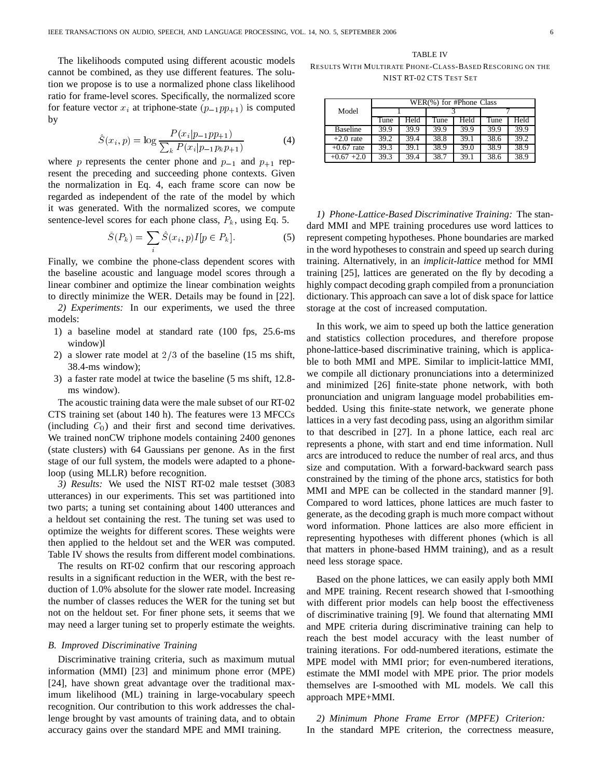The likelihoods computed using different acoustic models cannot be combined, as they use different features. The solution we propose is to use a normalized phone class likelihood ratio for frame-level scores. Specifically, the normalized score for feature vector  $x_i$  at triphone-state  $(p_{-1}pp_{+1})$  is computed by

$$
\hat{S}(x_i, p) = \log \frac{P(x_i|p_{-1}pp_{+1})}{\sum_k P(x_i|p_{-1}p_kp_{+1})}
$$
(4)

where p represents the center phone and  $p_{-1}$  and  $p_{+1}$  represent the preceding and succeeding phone contexts. Given the normalization in Eq. 4, each frame score can now be regarded as independent of the rate of the model by which it was generated. With the normalized scores, we compute sentence-level scores for each phone class,  $P_k$ , using Eq. 5.

$$
\tilde{S}(P_k) = \sum_i \hat{S}(x_i, p) I[p \in P_k]. \tag{5}
$$

Finally, we combine the phone-class dependent scores with the baseline acoustic and language model scores through a linear combiner and optimize the linear combination weights to directly minimize the WER. Details may be found in [22].

*2) Experiments:* In our experiments, we used the three models:

- 1) a baseline model at standard rate (100 fps, 25.6-ms window)l
- 2) a slower rate model at  $2/3$  of the baseline (15 ms shift, 38.4-ms window);
- 3) a faster rate model at twice the baseline (5 ms shift, 12.8 ms window).

The acoustic training data were the male subset of our RT-02 CTS training set (about 140 h). The features were 13 MFCCs (including  $C_0$ ) and their first and second time derivatives. We trained nonCW triphone models containing 2400 genones (state clusters) with 64 Gaussians per genone. As in the first stage of our full system, the models were adapted to a phoneloop (using MLLR) before recognition.

*3) Results:* We used the NIST RT-02 male testset (3083 utterances) in our experiments. This set was partitioned into two parts; a tuning set containing about 1400 utterances and a heldout set containing the rest. The tuning set was used to optimize the weights for different scores. These weights were then applied to the heldout set and the WER was computed. Table IV shows the results from different model combinations.

The results on RT-02 confirm that our rescoring approach results in a significant reduction in the WER, with the best reduction of 1.0% absolute for the slower rate model. Increasing the number of classes reduces the WER for the tuning set but not on the heldout set. For finer phone sets, it seems that we may need a larger tuning set to properly estimate the weights.

#### *B. Improved Discriminative Training*

Discriminative training criteria, such as maximum mutual information (MMI) [23] and minimum phone error (MPE) [24], have shown great advantage over the traditional maximum likelihood (ML) training in large-vocabulary speech recognition. Our contribution to this work addresses the challenge brought by vast amounts of training data, and to obtain accuracy gains over the standard MPE and MMI training.

TABLE IV RESULTS WITH MULTIRATE PHONE-CLASS-BASED RESCORING ON THE NIST RT-02 CTS TEST SET

|                 | WER(%) for #Phone Class |      |      |      |      |      |  |
|-----------------|-------------------------|------|------|------|------|------|--|
| Model           |                         |      |      |      |      |      |  |
|                 | Tune                    | Held | Tune | Held | Tune | Held |  |
| <b>Baseline</b> | 39.9                    | 39.9 | 39.9 | 39.9 | 39.9 | 39.9 |  |
| $+2.0$ rate     | 39.2                    | 39.4 | 38.8 | 39.1 | 38.6 | 39.2 |  |
| $+0.67$ rate    | 39.3                    | 39.1 | 38.9 | 39.0 | 38.9 | 38.9 |  |
| $+0.67 +2.0$    | 39.3                    | 39.4 | 38.7 | 39.1 | 38.6 | 38.9 |  |

*1) Phone-Lattice-Based Discriminative Training:* The standard MMI and MPE training procedures use word lattices to represent competing hypotheses. Phone boundaries are marked in the word hypotheses to constrain and speed up search during training. Alternatively, in an *implicit-lattice* method for MMI training [25], lattices are generated on the fly by decoding a highly compact decoding graph compiled from a pronunciation dictionary. This approach can save a lot of disk space for lattice storage at the cost of increased computation.

In this work, we aim to speed up both the lattice generation and statistics collection procedures, and therefore propose phone-lattice-based discriminative training, which is applicable to both MMI and MPE. Similar to implicit-lattice MMI, we compile all dictionary pronunciations into a determinized and minimized [26] finite-state phone network, with both pronunciation and unigram language model probabilities embedded. Using this finite-state network, we generate phone lattices in a very fast decoding pass, using an algorithm similar to that described in [27]. In a phone lattice, each real arc represents a phone, with start and end time information. Null arcs are introduced to reduce the number of real arcs, and thus size and computation. With a forward-backward search pass constrained by the timing of the phone arcs, statistics for both MMI and MPE can be collected in the standard manner [9]. Compared to word lattices, phone lattices are much faster to generate, as the decoding graph is much more compact without word information. Phone lattices are also more efficient in representing hypotheses with different phones (which is all that matters in phone-based HMM training), and as a result need less storage space.

Based on the phone lattices, we can easily apply both MMI and MPE training. Recent research showed that I-smoothing with different prior models can help boost the effectiveness of discriminative training [9]. We found that alternating MMI and MPE criteria during discriminative training can help to reach the best model accuracy with the least number of training iterations. For odd-numbered iterations, estimate the MPE model with MMI prior; for even-numbered iterations, estimate the MMI model with MPE prior. The prior models themselves are I-smoothed with ML models. We call this approach MPE+MMI.

*2) Minimum Phone Frame Error (MPFE) Criterion:* In the standard MPE criterion, the correctness measure,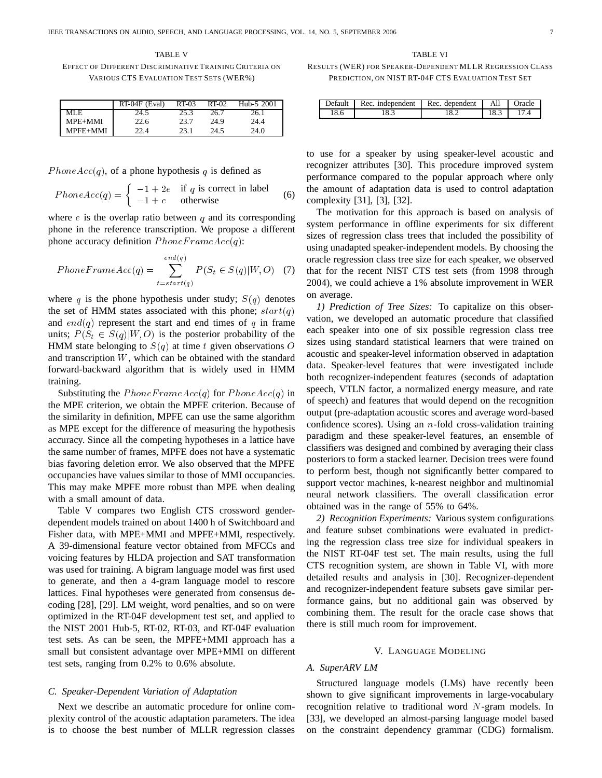TABLE V EFFECT OF DIFFERENT DISCRIMINATIVE TRAINING CRITERIA ON

VARIOUS CTS EVALUATION TEST SETS (WER%)

|            | $RT-04F$ (Eval) | RT-03 | $RT-02$ | Hub-5 2001 |
|------------|-----------------|-------|---------|------------|
| MLE        | 24.5            | 25.3  | 26.7    | 26.1       |
| MPE+MMI    | 22.6            | 23.7  | 24.9    | 24.4       |
| $MPFF+MMI$ | 22.4            | 23.1  | 24.5    | 24.0       |

*PhoneAcc(q)*, of a phone hypothesis q is defined as

$$
PhoneAcc(q) = \begin{cases} -1 + 2e & \text{if } q \text{ is correct in label} \\ -1 + e & \text{otherwise} \end{cases}
$$
(6)

where  $e$  is the overlap ratio between q and its corresponding phone in the reference transcription. We propose a different phone accuracy definition  $PhoneFrameAcc(q)$ :

$$
PhoneFrameAcc(q) = \sum_{t=start(q)}^{end(q)} P(S_t \in S(q)|W, O) \quad (7)
$$

where q is the phone hypothesis under study;  $S(q)$  denotes the set of HMM states associated with this phone;  $start(q)$ and  $end(q)$  represent the start and end times of q in frame units;  $P(S_t \in S(q)|W, O)$  is the posterior probability of the HMM state belonging to  $S(q)$  at time t given observations O and transcription  $W$ , which can be obtained with the standard forward-backward algorithm that is widely used in HMM training.

Substituting the  $PhoneFrameAcc(q)$  for  $PhoneAcc(q)$  in the MPE criterion, we obtain the MPFE criterion. Because of the similarity in definition, MPFE can use the same algorithm as MPE except for the difference of measuring the hypothesis accuracy. Since all the competing hypotheses in a lattice have the same number of frames, MPFE does not have a systematic bias favoring deletion error. We also observed that the MPFE occupancies have values similar to those of MMI occupancies. This may make MPFE more robust than MPE when dealing with a small amount of data.

Table V compares two English CTS crossword genderdependent models trained on about 1400 h of Switchboard and Fisher data, with MPE+MMI and MPFE+MMI, respectively. A 39-dimensional feature vector obtained from MFCCs and voicing features by HLDA projection and SAT transformation was used for training. A bigram language model was first used to generate, and then a 4-gram language model to rescore lattices. Final hypotheses were generated from consensus decoding [28], [29]. LM weight, word penalties, and so on were optimized in the RT-04F development test set, and applied to the NIST 2001 Hub-5, RT-02, RT-03, and RT-04F evaluation test sets. As can be seen, the MPFE+MMI approach has a small but consistent advantage over MPE+MMI on different test sets, ranging from 0.2% to 0.6% absolute.

#### *C. Speaker-Dependent Variation of Adaptation*

Next we describe an automatic procedure for online complexity control of the acoustic adaptation parameters. The idea is to choose the best number of MLLR regression classes

TABLE VI

RESULTS (WER) FOR SPEAKER-DEPENDENT MLLR REGRESSION CLASS PREDICTION, ON NIST RT-04F CTS EVALUATION TEST SET

| Default | Rec. independent Rec. dependent | All  |      |
|---------|---------------------------------|------|------|
|         |                                 | 18.3 | 17.4 |

to use for a speaker by using speaker-level acoustic and recognizer attributes [30]. This procedure improved system performance compared to the popular approach where only the amount of adaptation data is used to control adaptation complexity [31], [3], [32].

The motivation for this approach is based on analysis of system performance in offline experiments for six different sizes of regression class trees that included the possibility of using unadapted speaker-independent models. By choosing the oracle regression class tree size for each speaker, we observed that for the recent NIST CTS test sets (from 1998 through 2004), we could achieve a 1% absolute improvement in WER on average.

*1) Prediction of Tree Sizes:* To capitalize on this observation, we developed an automatic procedure that classified each speaker into one of six possible regression class tree sizes using standard statistical learners that were trained on acoustic and speaker-level information observed in adaptation data. Speaker-level features that were investigated include both recognizer-independent features (seconds of adaptation speech, VTLN factor, a normalized energy measure, and rate of speech) and features that would depend on the recognition output (pre-adaptation acoustic scores and average word-based confidence scores). Using an  $n$ -fold cross-validation training paradigm and these speaker-level features, an ensemble of classifiers was designed and combined by averaging their class posteriors to form a stacked learner. Decision trees were found to perform best, though not significantly better compared to support vector machines, k-nearest neighbor and multinomial neural network classifiers. The overall classification error obtained was in the range of 55% to 64%.

*2) Recognition Experiments:* Various system configurations and feature subset combinations were evaluated in predicting the regression class tree size for individual speakers in the NIST RT-04F test set. The main results, using the full CTS recognition system, are shown in Table VI, with more detailed results and analysis in [30]. Recognizer-dependent and recognizer-independent feature subsets gave similar performance gains, but no additional gain was observed by combining them. The result for the oracle case shows that there is still much room for improvement.

#### V. LANGUAGE MODELING

# *A. SuperARV LM*

Structured language models (LMs) have recently been shown to give significant improvements in large-vocabulary recognition relative to traditional word <sup>N</sup>-gram models. In [33], we developed an almost-parsing language model based on the constraint dependency grammar (CDG) formalism.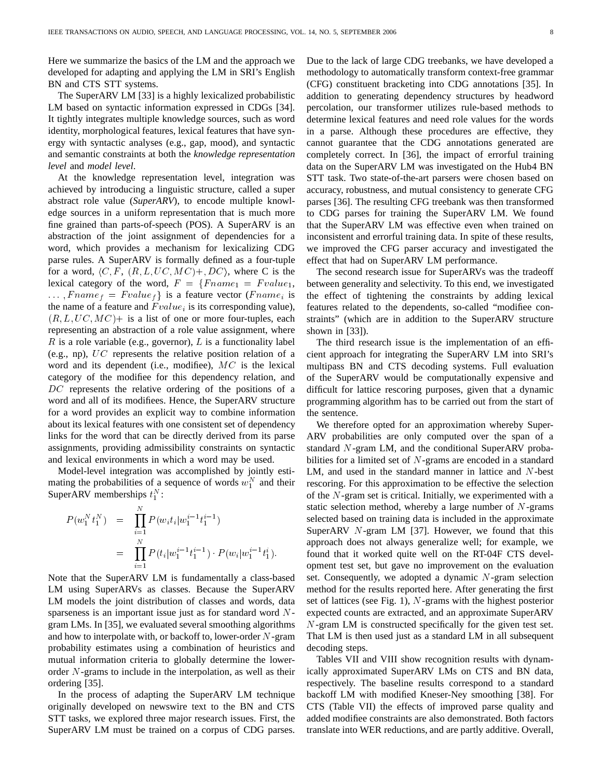Here we summarize the basics of the LM and the approach we developed for adapting and applying the LM in SRI's English BN and CTS STT systems.

The SuperARV LM [33] is a highly lexicalized probabilistic LM based on syntactic information expressed in CDGs [34]. It tightly integrates multiple knowledge sources, such as word identity, morphological features, lexical features that have synergy with syntactic analyses (e.g., gap, mood), and syntactic and semantic constraints at both the *knowledge representation level* and *model level*.

At the knowledge representation level, integration was achieved by introducing a linguistic structure, called a super abstract role value (*SuperARV*), to encode multiple knowledge sources in a uniform representation that is much more fine grained than parts-of-speech (POS). A SuperARV is an abstraction of the joint assignment of dependencies for a word, which provides a mechanism for lexicalizing CDG parse rules. A SuperARV is formally defined as a four-tuple for a word,  $\langle C, F, (R, L, UC, MC), F, DC \rangle$ , where C is the lexical category of the word,  $F = \{Frame_1 = Evaluate_1,$  $\ldots$ ,  $Frame_f$  =  $Fvalue_f$  is a feature vector ( $Frame_i$  is the name of a feature and  $Fvalue_i$  is its corresponding value),  $(R, L, UC, MC)$  is a list of one or more four-tuples, each representing an abstraction of a role value assignment, where R is a role variable (e.g., governor),  $L$  is a functionality label (e.g., np), UC represents the relative position relation of a word and its dependent (i.e., modifiee),  $MC$  is the lexical category of the modifiee for this dependency relation, and DC represents the relative ordering of the positions of a word and all of its modifiees. Hence, the SuperARV structure for a word provides an explicit way to combine information about its lexical features with one consistent set of dependency links for the word that can be directly derived from its parse assignments, providing admissibility constraints on syntactic and lexical environments in which a word may be used.

Model-level integration was accomplished by jointly estimating the probabilities of a sequence of words  $w_1^N$  and their SuperARV memberships  $t_1^N$ :

$$
P(w_1^N t_1^N) = \prod_{i=1}^N P(w_i t_i | w_1^{i-1} t_1^{i-1})
$$
  
= 
$$
\prod_{i=1}^N P(t_i | w_1^{i-1} t_1^{i-1}) \cdot P(w_i | w_1^{i-1} t_1^{i}).
$$

Note that the SuperARV LM is fundamentally a class-based LM using SuperARVs as classes. Because the SuperARV LM models the joint distribution of classes and words, data sparseness is an important issue just as for standard word <sup>N</sup>gram LMs. In [35], we evaluated several smoothing algorithms and how to interpolate with, or backoff to, lower-order  $N$ -gram probability estimates using a combination of heuristics and mutual information criteria to globally determine the lowerorder <sup>N</sup>-grams to include in the interpolation, as well as their ordering [35].

In the process of adapting the SuperARV LM technique originally developed on newswire text to the BN and CTS STT tasks, we explored three major research issues. First, the SuperARV LM must be trained on a corpus of CDG parses.

Due to the lack of large CDG treebanks, we have developed a methodology to automatically transform context-free grammar (CFG) constituent bracketing into CDG annotations [35]. In addition to generating dependency structures by headword percolation, our transformer utilizes rule-based methods to determine lexical features and need role values for the words in a parse. Although these procedures are effective, they cannot guarantee that the CDG annotations generated are completely correct. In [36], the impact of errorful training data on the SuperARV LM was investigated on the Hub4 BN STT task. Two state-of-the-art parsers were chosen based on accuracy, robustness, and mutual consistency to generate CFG parses [36]. The resulting CFG treebank was then transformed to CDG parses for training the SuperARV LM. We found that the SuperARV LM was effective even when trained on inconsistent and errorful training data. In spite of these results, we improved the CFG parser accuracy and investigated the effect that had on SuperARV LM performance.

The second research issue for SuperARVs was the tradeoff between generality and selectivity. To this end, we investigated the effect of tightening the constraints by adding lexical features related to the dependents, so-called "modifiee constraints" (which are in addition to the SuperARV structure shown in [33]).

The third research issue is the implementation of an efficient approach for integrating the SuperARV LM into SRI's multipass BN and CTS decoding systems. Full evaluation of the SuperARV would be computationally expensive and difficult for lattice rescoring purposes, given that a dynamic programming algorithm has to be carried out from the start of the sentence.

We therefore opted for an approximation whereby Super-ARV probabilities are only computed over the span of a standard <sup>N</sup>-gram LM, and the conditional SuperARV probabilities for a limited set of  $N$ -grams are encoded in a standard LM, and used in the standard manner in lattice and <sup>N</sup>-best rescoring. For this approximation to be effective the selection of the <sup>N</sup>-gram set is critical. Initially, we experimented with a static selection method, whereby a large number of  $N$ -grams selected based on training data is included in the approximate SuperARV <sup>N</sup>-gram LM [37]. However, we found that this approach does not always generalize well; for example, we found that it worked quite well on the RT-04F CTS development test set, but gave no improvement on the evaluation set. Consequently, we adopted a dynamic <sup>N</sup>-gram selection method for the results reported here. After generating the first set of lattices (see Fig. 1), <sup>N</sup>-grams with the highest posterior expected counts are extracted, and an approximate SuperARV <sup>N</sup>-gram LM is constructed specifically for the given test set. That LM is then used just as a standard LM in all subsequent decoding steps.

Tables VII and VIII show recognition results with dynamically approximated SuperARV LMs on CTS and BN data, respectively. The baseline results correspond to a standard backoff LM with modified Kneser-Ney smoothing [38]. For CTS (Table VII) the effects of improved parse quality and added modifiee constraints are also demonstrated. Both factors translate into WER reductions, and are partly additive. Overall,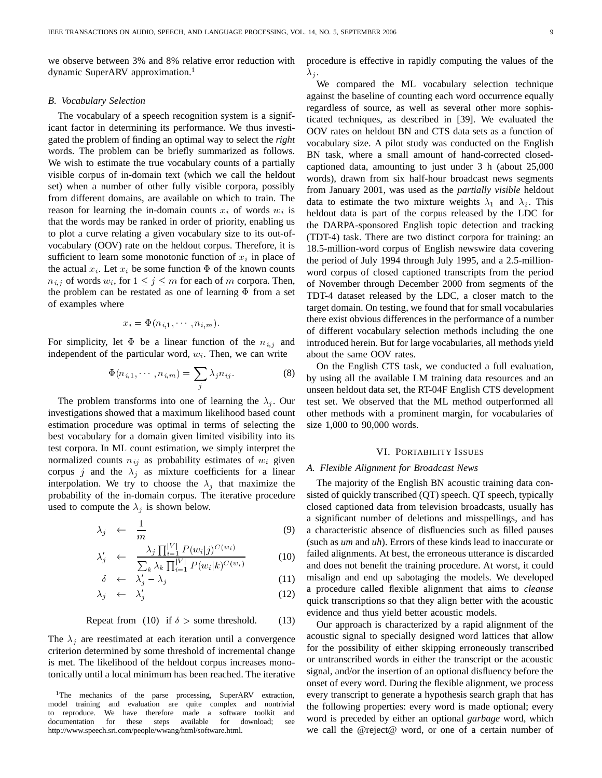we observe between 3% and 8% relative error reduction with dynamic SuperARV approximation.<sup>1</sup>

#### *B. Vocabulary Selection*

The vocabulary of a speech recognition system is a significant factor in determining its performance. We thus investigated the problem of finding an optimal way to select the *right* words. The problem can be briefly summarized as follows. We wish to estimate the true vocabulary counts of a partially visible corpus of in-domain text (which we call the heldout set) when a number of other fully visible corpora, possibly from different domains, are available on which to train. The reason for learning the in-domain counts  $x_i$  of words  $w_i$  is that the words may be ranked in order of priority, enabling us to plot a curve relating a given vocabulary size to its out-ofvocabulary (OOV) rate on the heldout corpus. Therefore, it is sufficient to learn some monotonic function of  $x_i$  in place of the actual  $x_i$ . Let  $x_i$  be some function  $\Phi$  of the known counts  $n_{i,j}$  of words  $w_i$ , for  $1 \leq j \leq m$  for each of m corpora. Then, the problem can be restated as one of learning  $\Phi$  from a set of examples where

$$
x_i = \Phi(n_{i,1},\cdots,n_{i,m}).
$$

For simplicity, let  $\Phi$  be a linear function of the  $n_{i,j}$  and independent of the particular word,  $w_i$ . Then, we can write

$$
\Phi(n_{i,1},\cdots,n_{i,m})=\sum_j \lambda_j n_{ij}.
$$
 (8)

The problem transforms into one of learning the  $\lambda_i$ . Our investigations showed that a maximum likelihood based count estimation procedure was optimal in terms of selecting the best vocabulary for a domain given limited visibility into its test corpora. In ML count estimation, we simply interpret the normalized counts  $n_{ij}$  as probability estimates of  $w_i$  given corpus j and the  $\lambda_j$  as mixture coefficients for a linear interpolation. We try to choose the  $\lambda_i$  that maximize the probability of the in-domain corpus. The iterative procedure used to compute the  $\lambda_i$  is shown below.

$$
\lambda_j \leftarrow \frac{1}{m} \tag{9}
$$

$$
\lambda'_{j} \leftarrow \frac{\lambda_{j} \prod_{i=1}^{|\mathcal{V}|} P(w_{i}|j)^{C(w_{i})}}{\sum_{k} \lambda_{k} \prod_{i=1}^{|\mathcal{V}|} P(w_{i}|k)^{C(w_{i})}}
$$
(10)

$$
\begin{array}{rcl}\n\delta & \leftarrow & \lambda'_j - \lambda_j \\
\lambda_j & \leftarrow & \lambda'_j\n\end{array} \n\tag{11}
$$

Repeat from (10) if  $\delta$  > some threshold. (13)

The  $\lambda_i$  are reestimated at each iteration until a convergence criterion determined by some threshold of incremental change is met. The likelihood of the heldout corpus increases monotonically until a local minimum has been reached. The iterative

procedure is effective in rapidly computing the values of the  $\lambda_j$ .

We compared the ML vocabulary selection technique against the baseline of counting each word occurrence equally regardless of source, as well as several other more sophisticated techniques, as described in [39]. We evaluated the OOV rates on heldout BN and CTS data sets as a function of vocabulary size. A pilot study was conducted on the English BN task, where a small amount of hand-corrected closedcaptioned data, amounting to just under 3 h (about 25,000 words), drawn from six half-hour broadcast news segments from January 2001, was used as the *partially visible* heldout data to estimate the two mixture weights  $\lambda_1$  and  $\lambda_2$ . This heldout data is part of the corpus released by the LDC for the DARPA-sponsored English topic detection and tracking (TDT-4) task. There are two distinct corpora for training: an 18.5-million-word corpus of English newswire data covering the period of July 1994 through July 1995, and a 2.5-millionword corpus of closed captioned transcripts from the period of November through December 2000 from segments of the TDT-4 dataset released by the LDC, a closer match to the target domain. On testing, we found that for small vocabularies there exist obvious differences in the performance of a number of different vocabulary selection methods including the one introduced herein. But for large vocabularies, all methods yield about the same OOV rates.

On the English CTS task, we conducted a full evaluation, by using all the available LM training data resources and an unseen heldout data set, the RT-04F English CTS development test set. We observed that the ML method outperformed all other methods with a prominent margin, for vocabularies of size 1,000 to 90,000 words.

# VI. PORTABILITY ISSUES

### *A. Flexible Alignment for Broadcast News*

The majority of the English BN acoustic training data consisted of quickly transcribed (QT) speech. QT speech, typically closed captioned data from television broadcasts, usually has a significant number of deletions and misspellings, and has a characteristic absence of disfluencies such as filled pauses (such as *um* and *uh*). Errors of these kinds lead to inaccurate or failed alignments. At best, the erroneous utterance is discarded and does not benefit the training procedure. At worst, it could misalign and end up sabotaging the models. We developed a procedure called flexible alignment that aims to *cleanse* quick transcriptions so that they align better with the acoustic evidence and thus yield better acoustic models.

Our approach is characterized by a rapid alignment of the acoustic signal to specially designed word lattices that allow for the possibility of either skipping erroneously transcribed or untranscribed words in either the transcript or the acoustic signal, and/or the insertion of an optional disfluency before the onset of every word. During the flexible alignment, we process every transcript to generate a hypothesis search graph that has the following properties: every word is made optional; every word is preceded by either an optional *garbage* word, which we call the @reject@ word, or one of a certain number of

<sup>&</sup>lt;sup>1</sup>The mechanics of the parse processing, SuperARV extraction, model training and evaluation are quite complex and nontrivial to reproduce. We have therefore made a software toolkit and documentation for these steps available for download; see http://www.speech.sri.com/people/wwang/html/software.html.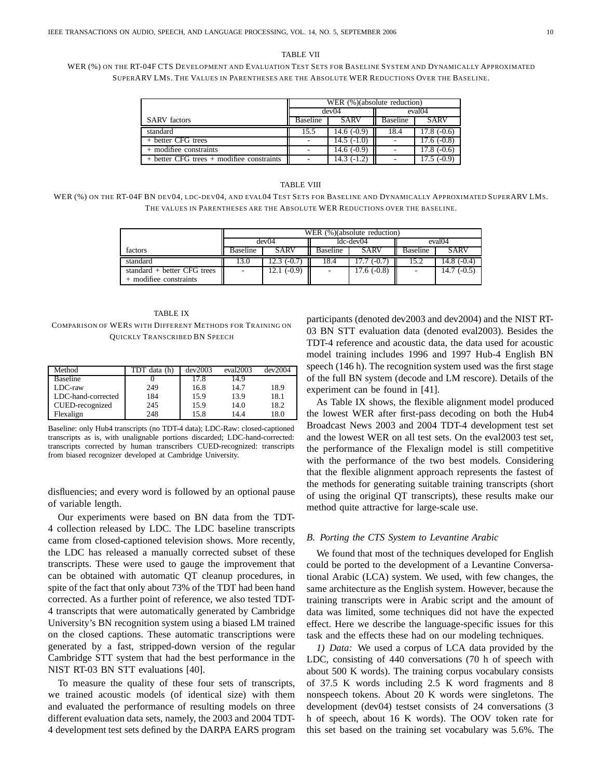TABLE VII

WER (%) ON THE RT-04F CTS DEVELOPMENT AND EVALUATION TEST SETS FOR BASELINE SYSTEM AND DYNAMICALLY APPROXIMATED SUPERARV LMS. THE VALUES IN PARENTHESES ARE THE ABSOLUTE WER REDUCTIONS OVER THE BASELINE.

|                                               | WER (%)(absolute reduction) |               |                 |                    |  |  |
|-----------------------------------------------|-----------------------------|---------------|-----------------|--------------------|--|--|
|                                               | dev(14)                     |               |                 | eval <sub>04</sub> |  |  |
| <b>SARV</b> factors                           | <b>Baseline</b>             | SARV          | <b>Baseline</b> | SARV               |  |  |
| standard                                      | 15.5                        | 14.6 $(-0.9)$ | 18.4            | $17.8(-0.6)$       |  |  |
| + better CFG trees                            |                             | $14.5(-1.0)$  |                 | $17.6(-0.8)$       |  |  |
| $+$ modifiee constraints                      |                             | 14.6 $(-0.9)$ |                 | $17.8(-0.6)$       |  |  |
| $+$ better CFG trees $+$ modifiee constraints |                             | 14.3 (-1.2)   |                 | 17.5 (-0.9)        |  |  |

#### TABLE VIII

WER (%) ON THE RT-04F BN DEV04, LDC-DEV04, AND EVAL04 TEST SETS FOR BASELINE AND DYNAMICALLY APPROXIMATED SUPERARV LMS. THE VALUES IN PARENTHESES ARE THE ABSOLUTE WER REDUCTIONS OVER THE BASELINE.

|                               | WER $(\%)$ (absolute reduction) |               |                 |              |                    |               |  |
|-------------------------------|---------------------------------|---------------|-----------------|--------------|--------------------|---------------|--|
|                               | dev04                           |               | ldc-dev04       |              | eval <sub>04</sub> |               |  |
| factors                       | <b>Baseline</b>                 | SARV          | <b>Baseline</b> | SARV         | <b>Baseline</b>    | SARV          |  |
| standard                      | 13.0                            | $12.3$ (-0.7) | 18.4            | $17.7(-0.7)$ | 15.2               | 14.8 $(-0.4)$ |  |
| standard + better $CFG$ trees |                                 | $12.1(-0.9)$  |                 | $17.6(-0.8)$ |                    | $14.7(-0.5)$  |  |
| + modifiee constraints        |                                 |               |                 |              |                    |               |  |

TABLE IX COMPARISON OF WERS WITH DIFFERENT METHODS FOR TRAINING ON QUICKLY TRANSCRIBED BN SPEECH

| Method             | TDT data (h) | dev2003 | eval2003 | dev2004 |
|--------------------|--------------|---------|----------|---------|
| <b>Baseline</b>    |              | 17.8    | 14.9     |         |
| LDC-raw            | 249          | 16.8    | 14.7     | 18.9    |
| LDC-hand-corrected | 184          | 15.9    | 13.9     | 18.1    |
| CUED-recognized    | 245          | 15.9    | 14.0     | 18.2    |
| Flexalign          | 248          | 15.8    | 14.4     | 18.0    |

Baseline: only Hub4 transcripts (no TDT-4 data); LDC-Raw: closed-captioned transcripts as is, with unalignable portions discarded; LDC-hand-corrected: transcripts corrected by human transcribers CUED-recognized: transcripts from biased recognizer developed at Cambridge University.

disfluencies; and every word is followed by an optional pause of variable length.

Our experiments were based on BN data from the TDT-4 collection released by LDC. The LDC baseline transcripts came from closed-captioned television shows. More recently, the LDC has released a manually corrected subset of these transcripts. These were used to gauge the improvement that can be obtained with automatic QT cleanup procedures, in spite of the fact that only about 73% of the TDT had been hand corrected. As a further point of reference, we also tested TDT-4 transcripts that were automatically generated by Cambridge University's BN recognition system using a biased LM trained on the closed captions. These automatic transcriptions were generated by a fast, stripped-down version of the regular Cambridge STT system that had the best performance in the NIST RT-03 BN STT evaluations [40].

To measure the quality of these four sets of transcripts, we trained acoustic models (of identical size) with them and evaluated the performance of resulting models on three different evaluation data sets, namely, the 2003 and 2004 TDT-4 development test sets defined by the DARPA EARS program

participants (denoted dev2003 and dev2004) and the NIST RT-03 BN STT evaluation data (denoted eval2003). Besides the TDT-4 reference and acoustic data, the data used for acoustic model training includes 1996 and 1997 Hub-4 English BN speech (146 h). The recognition system used was the first stage of the full BN system (decode and LM rescore). Details of the experiment can be found in [41].

As Table IX shows, the flexible alignment model produced the lowest WER after first-pass decoding on both the Hub4 Broadcast News 2003 and 2004 TDT-4 development test set and the lowest WER on all test sets. On the eval2003 test set, the performance of the Flexalign model is still competitive with the performance of the two best models. Considering that the flexible alignment approach represents the fastest of the methods for generating suitable training transcripts (short of using the original QT transcripts), these results make our method quite attractive for large-scale use.

#### *B. Porting the CTS System to Levantine Arabic*

We found that most of the techniques developed for English could be ported to the development of a Levantine Conversational Arabic (LCA) system. We used, with few changes, the same architecture as the English system. However, because the training transcripts were in Arabic script and the amount of data was limited, some techniques did not have the expected effect. Here we describe the language-specific issues for this task and the effects these had on our modeling techniques.

*1) Data:* We used a corpus of LCA data provided by the LDC, consisting of 440 conversations (70 h of speech with about 500 K words). The training corpus vocabulary consists of 37.5 K words including 2.5 K word fragments and 8 nonspeech tokens. About 20 K words were singletons. The development (dev04) testset consists of 24 conversations (3 h of speech, about 16 K words). The OOV token rate for this set based on the training set vocabulary was 5.6%. The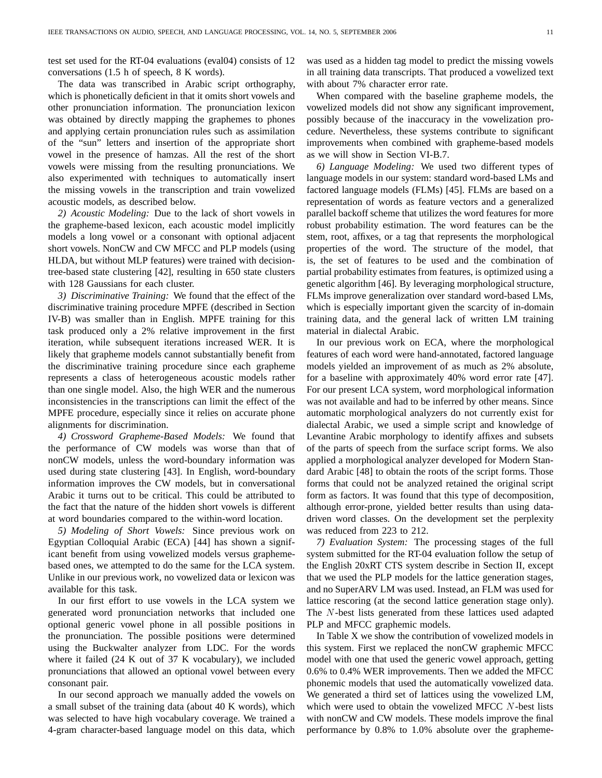test set used for the RT-04 evaluations (eval04) consists of 12 conversations (1.5 h of speech, 8 K words).

The data was transcribed in Arabic script orthography, which is phonetically deficient in that it omits short vowels and other pronunciation information. The pronunciation lexicon was obtained by directly mapping the graphemes to phones and applying certain pronunciation rules such as assimilation of the "sun" letters and insertion of the appropriate short vowel in the presence of hamzas. All the rest of the short vowels were missing from the resulting pronunciations. We also experimented with techniques to automatically insert the missing vowels in the transcription and train vowelized acoustic models, as described below.

*2) Acoustic Modeling:* Due to the lack of short vowels in the grapheme-based lexicon, each acoustic model implicitly models a long vowel or a consonant with optional adjacent short vowels. NonCW and CW MFCC and PLP models (using HLDA, but without MLP features) were trained with decisiontree-based state clustering [42], resulting in 650 state clusters with 128 Gaussians for each cluster.

*3) Discriminative Training:* We found that the effect of the discriminative training procedure MPFE (described in Section IV-B) was smaller than in English. MPFE training for this task produced only a 2% relative improvement in the first iteration, while subsequent iterations increased WER. It is likely that grapheme models cannot substantially benefit from the discriminative training procedure since each grapheme represents a class of heterogeneous acoustic models rather than one single model. Also, the high WER and the numerous inconsistencies in the transcriptions can limit the effect of the MPFE procedure, especially since it relies on accurate phone alignments for discrimination.

*4) Crossword Grapheme-Based Models:* We found that the performance of CW models was worse than that of nonCW models, unless the word-boundary information was used during state clustering [43]. In English, word-boundary information improves the CW models, but in conversational Arabic it turns out to be critical. This could be attributed to the fact that the nature of the hidden short vowels is different at word boundaries compared to the within-word location.

*5) Modeling of Short Vowels:* Since previous work on Egyptian Colloquial Arabic (ECA) [44] has shown a significant benefit from using vowelized models versus graphemebased ones, we attempted to do the same for the LCA system. Unlike in our previous work, no vowelized data or lexicon was available for this task.

In our first effort to use vowels in the LCA system we generated word pronunciation networks that included one optional generic vowel phone in all possible positions in the pronunciation. The possible positions were determined using the Buckwalter analyzer from LDC. For the words where it failed (24 K out of 37 K vocabulary), we included pronunciations that allowed an optional vowel between every consonant pair.

In our second approach we manually added the vowels on a small subset of the training data (about 40 K words), which was selected to have high vocabulary coverage. We trained a 4-gram character-based language model on this data, which was used as a hidden tag model to predict the missing vowels in all training data transcripts. That produced a vowelized text with about 7% character error rate.

When compared with the baseline grapheme models, the vowelized models did not show any significant improvement, possibly because of the inaccuracy in the vowelization procedure. Nevertheless, these systems contribute to significant improvements when combined with grapheme-based models as we will show in Section VI-B.7.

*6) Language Modeling:* We used two different types of language models in our system: standard word-based LMs and factored language models (FLMs) [45]. FLMs are based on a representation of words as feature vectors and a generalized parallel backoff scheme that utilizes the word features for more robust probability estimation. The word features can be the stem, root, affixes, or a tag that represents the morphological properties of the word. The structure of the model, that is, the set of features to be used and the combination of partial probability estimates from features, is optimized using a genetic algorithm [46]. By leveraging morphological structure, FLMs improve generalization over standard word-based LMs, which is especially important given the scarcity of in-domain training data, and the general lack of written LM training material in dialectal Arabic.

In our previous work on ECA, where the morphological features of each word were hand-annotated, factored language models yielded an improvement of as much as 2% absolute, for a baseline with approximately 40% word error rate [47]. For our present LCA system, word morphological information was not available and had to be inferred by other means. Since automatic morphological analyzers do not currently exist for dialectal Arabic, we used a simple script and knowledge of Levantine Arabic morphology to identify affixes and subsets of the parts of speech from the surface script forms. We also applied a morphological analyzer developed for Modern Standard Arabic [48] to obtain the roots of the script forms. Those forms that could not be analyzed retained the original script form as factors. It was found that this type of decomposition, although error-prone, yielded better results than using datadriven word classes. On the development set the perplexity was reduced from 223 to 212.

*7) Evaluation System:* The processing stages of the full system submitted for the RT-04 evaluation follow the setup of the English 20xRT CTS system describe in Section II, except that we used the PLP models for the lattice generation stages, and no SuperARV LM was used. Instead, an FLM was used for lattice rescoring (at the second lattice generation stage only). The <sup>N</sup>-best lists generated from these lattices used adapted PLP and MFCC graphemic models.

In Table X we show the contribution of vowelized models in this system. First we replaced the nonCW graphemic MFCC model with one that used the generic vowel approach, getting 0.6% to 0.4% WER improvements. Then we added the MFCC phonemic models that used the automatically vowelized data. We generated a third set of lattices using the vowelized LM, which were used to obtain the vowelized MFCC  $N$ -best lists with nonCW and CW models. These models improve the final performance by 0.8% to 1.0% absolute over the grapheme-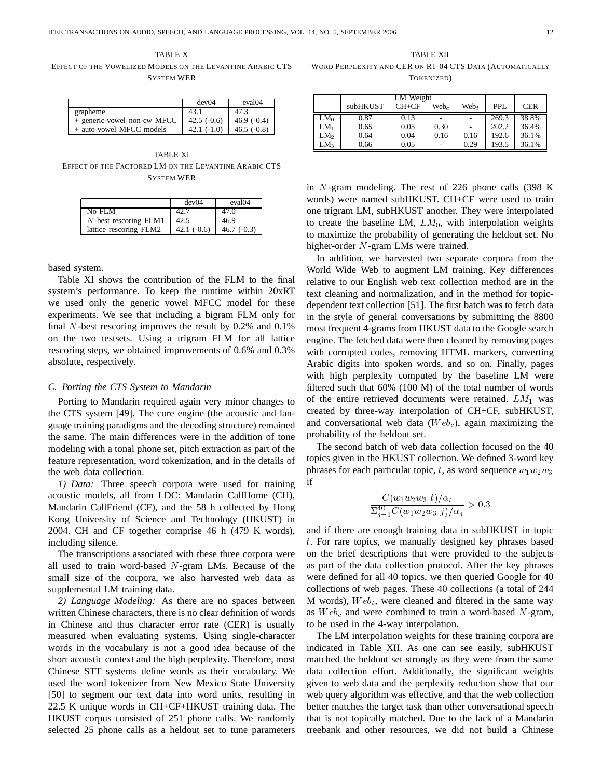#### TABLE X

EFFECT OF THE VOWELIZED MODELS ON THE LEVANTINE ARABIC CTS SYSTEM WER

|                             | dev04         | eval <sub>04</sub> |
|-----------------------------|---------------|--------------------|
| grapheme                    | 43.1          | 47.3               |
| + generic-vowel non-cw MFCC | 42.5 $(-0.6)$ | 46.9 $(-0.4)$      |
| + auto-vowel MFCC models    | $42.1(-1.0)$  | $46.5(-0.8)$       |

TABLE XI EFFECT OF THE FACTORED LM ON THE LEVANTINE ARABIC CTS SYSTEM WER

|                          | dev04         | eval04       |
|--------------------------|---------------|--------------|
| No FLM                   |               | 47.0         |
| $N$ -best rescoring FLM1 | 42.5          | 46.9         |
| lattice rescoring FLM2   | 42.1 $(-0.6)$ | $46.7(-0.3)$ |

### based system.

Table XI shows the contribution of the FLM to the final system's performance. To keep the runtime within 20xRT we used only the generic vowel MFCC model for these experiments. We see that including a bigram FLM only for final N-best rescoring improves the result by  $0.2\%$  and  $0.1\%$ on the two testsets. Using a trigram FLM for all lattice rescoring steps, we obtained improvements of 0.6% and 0.3% absolute, respectively.

# *C. Porting the CTS System to Mandarin*

Porting to Mandarin required again very minor changes to the CTS system [49]. The core engine (the acoustic and language training paradigms and the decoding structure) remained the same. The main differences were in the addition of tone modeling with a tonal phone set, pitch extraction as part of the feature representation, word tokenization, and in the details of the web data collection.

*1) Data:* Three speech corpora were used for training acoustic models, all from LDC: Mandarin CallHome (CH), Mandarin CallFriend (CF), and the 58 h collected by Hong Kong University of Science and Technology (HKUST) in 2004. CH and CF together comprise 46 h (479 K words), including silence.

The transcriptions associated with these three corpora were all used to train word-based  $N$ -gram LMs. Because of the small size of the corpora, we also harvested web data as supplemental LM training data.

*2) Language Modeling:* As there are no spaces between written Chinese characters, there is no clear definition of words in Chinese and thus character error rate (CER) is usually measured when evaluating systems. Using single-character words in the vocabulary is not a good idea because of the short acoustic context and the high perplexity. Therefore, most Chinese STT systems define words as their vocabulary. We used the word tokenizer from New Mexico State University [50] to segment our text data into word units, resulting in 22.5 K unique words in CH+CF+HKUST training data. The HKUST corpus consisted of 251 phone calls. We randomly selected 25 phone calls as a heldout set to tune parameters

TABLE XII WORD PERPLEXITY AND CER ON RT-04 CTS DATA (AUTOMATICALLY TOKENIZED)

|                 | subHKUST | $CH+CF$ | Web <sub>c</sub> | $Web_{t}$ | PPL.  | <b>CER</b> |
|-----------------|----------|---------|------------------|-----------|-------|------------|
| $LM_0$          | 0.87     | 0.13    | ۰                |           | 269.3 | 38.8%      |
| $LM_1$          | 0.65     | 0.05    | 0.30             |           | 202.2 | 36.4%      |
| LM <sub>2</sub> | 0.64     | 0.04    | 0.16             | 0.16      | 192.6 | 36.1%      |
| LM <sub>3</sub> | 0.66     | 0.05    |                  | 0.29      | 193.5 | 36.1%      |

in <sup>N</sup>-gram modeling. The rest of 226 phone calls (398 K words) were named subHKUST. CH+CF were used to train one trigram LM, subHKUST another. They were interpolated to create the baseline LM,  $LM_0$ , with interpolation weights to maximize the probability of generating the heldout set. No higher-order <sup>N</sup>-gram LMs were trained.

In addition, we harvested two separate corpora from the World Wide Web to augment LM training. Key differences relative to our English web text collection method are in the text cleaning and normalization, and in the method for topicdependent text collection [51]. The first batch was to fetch data in the style of general conversations by submitting the 8800 most frequent 4-grams from HKUST data to the Google search engine. The fetched data were then cleaned by removing pages with corrupted codes, removing HTML markers, converting Arabic digits into spoken words, and so on. Finally, pages with high perplexity computed by the baseline LM were filtered such that 60% (100 M) of the total number of words of the entire retrieved documents were retained.  $LM_1$  was created by three-way interpolation of CH+CF, subHKUST, and conversational web data  $(Web<sub>c</sub>)$ , again maximizing the probability of the heldout set.

The second batch of web data collection focused on the 40 topics given in the HKUST collection. We defined 3-word key phrases for each particular topic, t, as word sequence  $w_1w_2w_3$ if

$$
\frac{C(w_1w_2w_3|t)/\alpha_t}{\sum_{j=1}^{40}C(w_1w_2w_3|j)/\alpha_j} > 0.3
$$

and if there are enough training data in subHKUST in topic <sup>t</sup>. For rare topics, we manually designed key phrases based on the brief descriptions that were provided to the subjects as part of the data collection protocol. After the key phrases were defined for all 40 topics, we then queried Google for 40 collections of web pages. These 40 collections (a total of 244 M words),  $Web_t$ , were cleaned and filtered in the same way as  $Web_c$  and were combined to train a word-based N-gram, to be used in the 4-way interpolation.

The LM interpolation weights for these training corpora are indicated in Table XII. As one can see easily, subHKUST matched the heldout set strongly as they were from the same data collection effort. Additionally, the significant weights given to web data and the perplexity reduction show that our web query algorithm was effective, and that the web collection better matches the target task than other conversational speech that is not topically matched. Due to the lack of a Mandarin treebank and other resources, we did not build a Chinese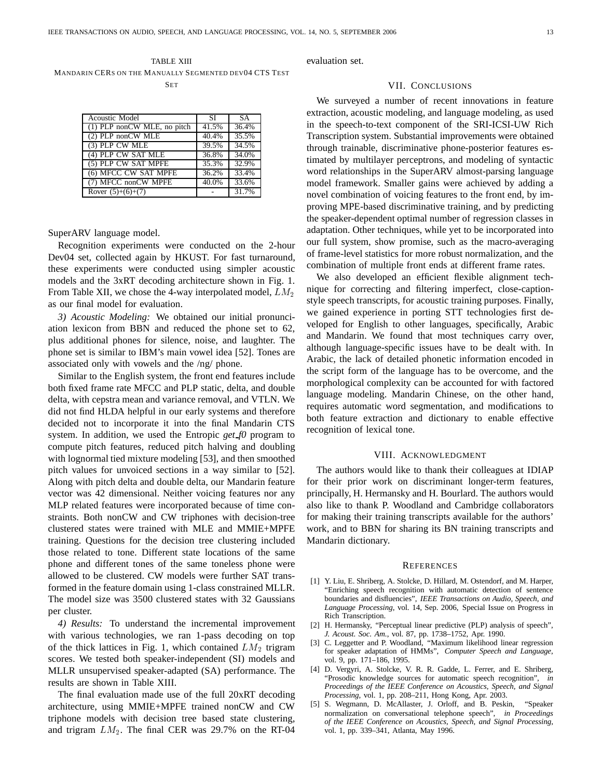TABLE XIII MANDARIN CERS ON THE MANUALLY SEGMENTED DEV04 CTS TEST SET

| Acoustic Model              | -SI   | <b>SA</b> |
|-----------------------------|-------|-----------|
| (1) PLP nonCW MLE, no pitch | 41.5% | 36.4%     |
| (2) PLP nonCW MLE           | 40.4% | 35.5%     |
| (3) PLP CW MLE              | 39.5% | 34.5%     |
| (4) PLP CW SAT MLE          | 36.8% | 34.0%     |
| (5) PLP CW SAT MPFE         | 35.3% | 32.9%     |
| (6) MFCC CW SAT MPFE        | 36.2% | 33.4%     |
| (7) MFCC nonCW MPFE         | 40.0% | 33.6%     |
| Rover $(5)+(6)(7)$          |       | 31.7%     |

SuperARV language model.

Recognition experiments were conducted on the 2-hour Dev04 set, collected again by HKUST. For fast turnaround, these experiments were conducted using simpler acoustic models and the 3xRT decoding architecture shown in Fig. 1. From Table XII, we chose the 4-way interpolated model,  $LM_2$ as our final model for evaluation.

*3) Acoustic Modeling:* We obtained our initial pronunciation lexicon from BBN and reduced the phone set to 62, plus additional phones for silence, noise, and laughter. The phone set is similar to IBM's main vowel idea [52]. Tones are associated only with vowels and the /ng/ phone.

Similar to the English system, the front end features include both fixed frame rate MFCC and PLP static, delta, and double delta, with cepstra mean and variance removal, and VTLN. We did not find HLDA helpful in our early systems and therefore decided not to incorporate it into the final Mandarin CTS system. In addition, we used the Entropic *get f0* program to compute pitch features, reduced pitch halving and doubling with lognormal tied mixture modeling [53], and then smoothed pitch values for unvoiced sections in a way similar to [52]. Along with pitch delta and double delta, our Mandarin feature vector was 42 dimensional. Neither voicing features nor any MLP related features were incorporated because of time constraints. Both nonCW and CW triphones with decision-tree clustered states were trained with MLE and MMIE+MPFE training. Questions for the decision tree clustering included those related to tone. Different state locations of the same phone and different tones of the same toneless phone were allowed to be clustered. CW models were further SAT transformed in the feature domain using 1-class constrained MLLR. The model size was 3500 clustered states with 32 Gaussians per cluster.

*4) Results:* To understand the incremental improvement with various technologies, we ran 1-pass decoding on top of the thick lattices in Fig. 1, which contained  $LM_2$  trigram scores. We tested both speaker-independent (SI) models and MLLR unsupervised speaker-adapted (SA) performance. The results are shown in Table XIII.

The final evaluation made use of the full 20xRT decoding architecture, using MMIE+MPFE trained nonCW and CW triphone models with decision tree based state clustering, and trigram  $LM_2$ . The final CER was 29.7% on the RT-04 evaluation set.

# VII. CONCLUSIONS

We surveyed a number of recent innovations in feature extraction, acoustic modeling, and language modeling, as used in the speech-to-text component of the SRI-ICSI-UW Rich Transcription system. Substantial improvements were obtained through trainable, discriminative phone-posterior features estimated by multilayer perceptrons, and modeling of syntactic word relationships in the SuperARV almost-parsing language model framework. Smaller gains were achieved by adding a novel combination of voicing features to the front end, by improving MPE-based discriminative training, and by predicting the speaker-dependent optimal number of regression classes in adaptation. Other techniques, while yet to be incorporated into our full system, show promise, such as the macro-averaging of frame-level statistics for more robust normalization, and the combination of multiple front ends at different frame rates.

We also developed an efficient flexible alignment technique for correcting and filtering imperfect, close-captionstyle speech transcripts, for acoustic training purposes. Finally, we gained experience in porting STT technologies first developed for English to other languages, specifically, Arabic and Mandarin. We found that most techniques carry over, although language-specific issues have to be dealt with. In Arabic, the lack of detailed phonetic information encoded in the script form of the language has to be overcome, and the morphological complexity can be accounted for with factored language modeling. Mandarin Chinese, on the other hand, requires automatic word segmentation, and modifications to both feature extraction and dictionary to enable effective recognition of lexical tone.

#### VIII. ACKNOWLEDGMENT

The authors would like to thank their colleagues at IDIAP for their prior work on discriminant longer-term features, principally, H. Hermansky and H. Bourlard. The authors would also like to thank P. Woodland and Cambridge collaborators for making their training transcripts available for the authors' work, and to BBN for sharing its BN training transcripts and Mandarin dictionary.

#### **REFERENCES**

- [1] Y. Liu, E. Shriberg, A. Stolcke, D. Hillard, M. Ostendorf, and M. Harper, "Enriching speech recognition with automatic detection of sentence boundaries and disfluencies", *IEEE Transactions on Audio, Speech, and Language Processing*, vol. 14, Sep. 2006, Special Issue on Progress in Rich Transcription.
- [2] H. Hermansky, "Perceptual linear predictive (PLP) analysis of speech", *J. Acoust. Soc. Am.*, vol. 87, pp. 1738–1752, Apr. 1990.
- [3] C. Leggetter and P. Woodland, "Maximum likelihood linear regression for speaker adaptation of HMMs", *Computer Speech and Language*, vol. 9, pp. 171–186, 1995.
- [4] D. Vergyri, A. Stolcke, V. R. R. Gadde, L. Ferrer, and E. Shriberg, "Prosodic knowledge sources for automatic speech recognition", *in Proceedings of the IEEE Conference on Acoustics, Speech, and Signal Processing*, vol. 1, pp. 208–211, Hong Kong, Apr. 2003.
- [5] S. Wegmann, D. McAllaster, J. Orloff, and B. Peskin, "Speaker normalization on conversational telephone speech", *in Proceedings of the IEEE Conference on Acoustics, Speech, and Signal Processing*, vol. 1, pp. 339–341, Atlanta, May 1996.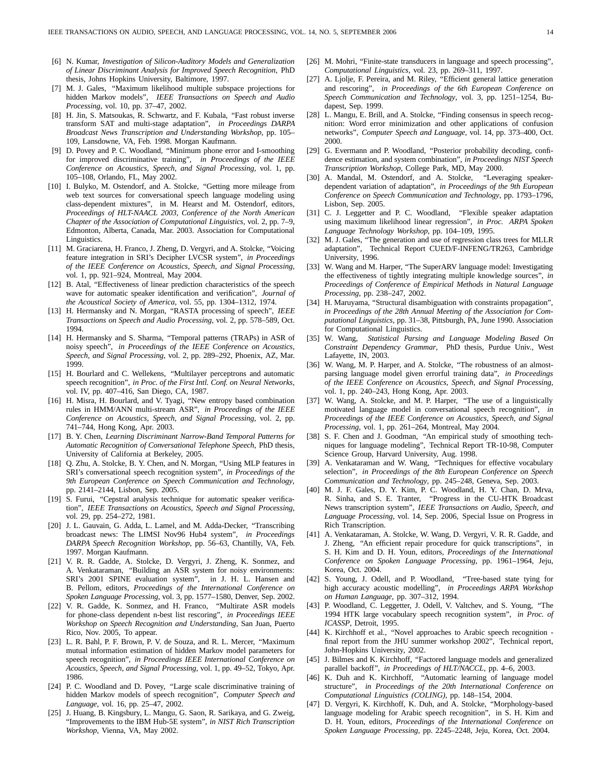- [6] N. Kumar, *Investigation of Silicon-Auditory Models and Generalization of Linear Discriminant Analysis for Improved Speech Recognition*, PhD thesis, Johns Hopkins University, Baltimore, 1997.
- [7] M. J. Gales, "Maximum likelihood multiple subspace projections for hidden Markov models", *IEEE Transactions on Speech and Audio Processing*, vol. 10, pp. 37–47, 2002.
- [8] H. Jin, S. Matsoukas, R. Schwartz, and F. Kubala, "Fast robust inverse transform SAT and multi-stage adaptation", *in Proceedings DARPA Broadcast News Transcription and Understanding Workshop*, pp. 105– 109, Lansdowne, VA, Feb. 1998. Morgan Kaufmann.
- [9] D. Povey and P. C. Woodland, "Minimum phone error and I-smoothing for improved discriminative training", *in Proceedings of the IEEE Conference on Acoustics, Speech, and Signal Processing*, vol. 1, pp. 105–108, Orlando, FL, May 2002.
- [10] I. Bulyko, M. Ostendorf, and A. Stolcke, "Getting more mileage from web text sources for conversational speech language modeling using class-dependent mixtures", in M. Hearst and M. Ostendorf, editors, *Proceedings of HLT-NAACL 2003, Conference of the North American Chapter of the Association of Computational Linguistics*, vol. 2, pp. 7–9, Edmonton, Alberta, Canada, Mar. 2003. Association for Computational Linguistics.
- [11] M. Graciarena, H. Franco, J. Zheng, D. Vergyri, and A. Stolcke, "Voicing feature integration in SRI's Decipher LVCSR system", *in Proceedings of the IEEE Conference on Acoustics, Speech, and Signal Processing*, vol. 1, pp. 921–924, Montreal, May 2004.
- [12] B. Atal, "Effectiveness of linear prediction characteristics of the speech wave for automatic speaker identification and verification", *Journal of the Acoustical Society of America*, vol. 55, pp. 1304–1312, 1974.
- [13] H. Hermansky and N. Morgan, "RASTA processing of speech", *IEEE Transactions on Speech and Audio Processing*, vol. 2, pp. 578–589, Oct. 1994.
- [14] H. Hermansky and S. Sharma, "Temporal patterns (TRAPs) in ASR of noisy speech", *in Proceedings of the IEEE Conference on Acoustics, Speech, and Signal Processing*, vol. 2, pp. 289–292, Phoenix, AZ, Mar. 1999.
- [15] H. Bourlard and C. Wellekens, "Multilayer perceptrons and automatic speech recognition", *in Proc. of the First Intl. Conf. on Neural Networks*, vol. IV, pp. 407–416, San Diego, CA, 1987.
- [16] H. Misra, H. Bourlard, and V. Tyagi, "New entropy based combination rules in HMM/ANN multi-stream ASR", *in Proceedings of the IEEE Conference on Acoustics, Speech, and Signal Processing*, vol. 2, pp. 741–744, Hong Kong, Apr. 2003.
- [17] B. Y. Chen, *Learning Discriminant Narrow-Band Temporal Patterns for Automatic Recognition of Conversational Telephone Speech*, PhD thesis, University of California at Berkeley, 2005.
- [18] Q. Zhu, A. Stolcke, B. Y. Chen, and N. Morgan, "Using MLP features in SRI's conversational speech recognition system", *in Proceedings of the 9th European Conference on Speech Communication and Technology*, pp. 2141–2144, Lisbon, Sep. 2005.
- [19] S. Furui, "Cepstral analysis technique for automatic speaker verification", *IEEE Transactions on Acoustics, Speech and Signal Processing*, vol. 29, pp. 254–272, 1981.
- [20] J. L. Gauvain, G. Adda, L. Lamel, and M. Adda-Decker, "Transcribing broadcast news: The LIMSI Nov96 Hub4 system", *in Proceedings DARPA Speech Recognition Workshop*, pp. 56–63, Chantilly, VA, Feb. 1997. Morgan Kaufmann.
- [21] V. R. R. Gadde, A. Stolcke, D. Vergyri, J. Zheng, K. Sonmez, and A. Venkataraman, "Building an ASR system for noisy environments: SRI's 2001 SPINE evaluation system", in J. H. L. Hansen and B. Pellom, editors, *Proceedings of the International Conference on Spoken Language Processing*, vol. 3, pp. 1577–1580, Denver, Sep. 2002.
- [22] V. R. Gadde, K. Sonmez, and H. Franco, "Multirate ASR models for phone-class dependent n-best list rescoring", *in Proceedings IEEE Workshop on Speech Recognition and Understanding*, San Juan, Puerto Rico, Nov. 2005, To appear.
- [23] L. R. Bahl, P. F. Brown, P. V. de Souza, and R. L. Mercer, "Maximum mutual information estimation of hidden Markov model parameters for speech recognition", *in Proceedings IEEE International Conference on Acoustics, Speech, and Signal Processing*, vol. 1, pp. 49–52, Tokyo, Apr. 1986.
- [24] P. C. Woodland and D. Povey, "Large scale discriminative training of hidden Markov models of speech recognition", *Computer Speech and Language*, vol. 16, pp. 25–47, 2002.
- [25] J. Huang, B. Kingsbury, L. Mangu, G. Saon, R. Sarikaya, and G. Zweig, "Improvements to the IBM Hub-5E system", *in NIST Rich Transcription Workshop*, Vienna, VA, May 2002.
- [26] M. Mohri, "Finite-state transducers in language and speech processing", *Computational Linguistics*, vol. 23, pp. 269–311, 1997.
- [27] A. Ljolje, F. Pereira, and M. Riley, "Efficient general lattice generation and rescoring", *in Proceedings of the 6th European Conference on Speech Communication and Technology*, vol. 3, pp. 1251–1254, Budapest, Sep. 1999.
- [28] L. Mangu, E. Brill, and A. Stolcke, "Finding consensus in speech recognition: Word error minimization and other applications of confusion networks", *Computer Speech and Language*, vol. 14, pp. 373–400, Oct. 2000.
- [29] G. Evermann and P. Woodland, "Posterior probability decoding, confidence estimation, and system combination", *in Proceedings NIST Speech Transcription Workshop*, College Park, MD, May 2000.
- [30] A. Mandal, M. Ostendorf, and A. Stolcke, "Leveraging speakerdependent variation of adaptation", *in Proceedings of the 9th European Conference on Speech Communication and Technology*, pp. 1793–1796, Lisbon, Sep. 2005.
- [31] C. J. Leggetter and P. C. Woodland, "Flexible speaker adaptation using maximum likelihood linear regression", *in Proc. ARPA Spoken Language Technology Workshop*, pp. 104–109, 1995.
- [32] M. J. Gales, "The generation and use of regression class trees for MLLR adaptation", Technical Report CUED/F-INFENG/TR263, Cambridge University, 1996.
- [33] W. Wang and M. Harper, "The SuperARV language model: Investigating the effectiveness of tightly integrating multiple knowledge sources", *in Proceedings of Conference of Empirical Methods in Natural Language Processing*, pp. 238–247, 2002.
- [34] H. Maruyama, "Structural disambiguation with constraints propagation", *in Proceedings of the 28th Annual Meeting of the Association for Computational Linguistics*, pp. 31–38, Pittsburgh, PA, June 1990. Association for Computational Linguistics.
- [35] W. Wang, *Statistical Parsing and Language Modeling Based On Constraint Dependency Grammar*, PhD thesis, Purdue Univ., West Lafayette, IN, 2003.
- [36] W. Wang, M. P. Harper, and A. Stolcke, "The robustness of an almostparsing language model given errorful training data", *in Proceedings of the IEEE Conference on Acoustics, Speech, and Signal Processing*, vol. 1, pp. 240–243, Hong Kong, Apr. 2003.
- [37] W. Wang, A. Stolcke, and M. P. Harper, "The use of a linguistically motivated language model in conversational speech recognition", *in Proceedings of the IEEE Conference on Acoustics, Speech, and Signal Processing*, vol. 1, pp. 261–264, Montreal, May 2004.
- [38] S. F. Chen and J. Goodman, "An empirical study of smoothing techniques for language modeling", Technical Report TR-10-98, Computer Science Group, Harvard University, Aug. 1998.
- [39] A. Venkataraman and W. Wang, "Techniques for effective vocabulary selection", *in Proceedings of the 8th European Conference on Speech Communication and Technology*, pp. 245–248, Geneva, Sep. 2003.
- [40] M. J. F. Gales, D. Y. Kim, P. C. Woodland, H. Y. Chan, D. Mrva, R. Sinha, and S. E. Tranter, "Progress in the CU-HTK Broadcast News transcription system", *IEEE Transactions on Audio, Speech, and Language Processing*, vol. 14, Sep. 2006, Special Issue on Progress in Rich Transcription.
- [41] A. Venkataraman, A. Stolcke, W. Wang, D. Vergyri, V. R. R. Gadde, and J. Zheng, "An efficient repair procedure for quick transcriptions", in S. H. Kim and D. H. Youn, editors, *Proceedings of the International Conference on Spoken Language Processing*, pp. 1961–1964, Jeju, Korea, Oct. 2004.
- [42] S. Young, J. Odell, and P. Woodland, "Tree-based state tying for high accuracy acoustic modelling", *in Proceedings ARPA Workshop on Human Language*, pp. 307–312, 1994.
- [43] P. Woodland, C. Leggetter, J. Odell, V. Valtchev, and S. Young, "The 1994 HTK large vocabulary speech recognition system", *in Proc. of ICASSP*, Detroit, 1995.
- [44] K. Kirchhoff et al., "Novel approaches to Arabic speech recognition final report from the JHU summer workshop 2002", Technical report, John-Hopkins University, 2002.
- [45] J. Bilmes and K. Kirchhoff, "Factored language models and generalized parallel backoff", *in Proceedings of HLT/NACCL*, pp. 4–6, 2003.
- [46] K. Duh and K. Kirchhoff, "Automatic learning of language model structure", *in Proceedings of the 20th International Conference on Computational Linguistics (COLING)*, pp. 148–154, 2004.
- [47] D. Vergyri, K. Kirchhoff, K. Duh, and A. Stolcke, "Morphology-based language modeling for Arabic speech recognition", in S. H. Kim and D. H. Youn, editors, *Proceedings of the International Conference on Spoken Language Processing*, pp. 2245–2248, Jeju, Korea, Oct. 2004.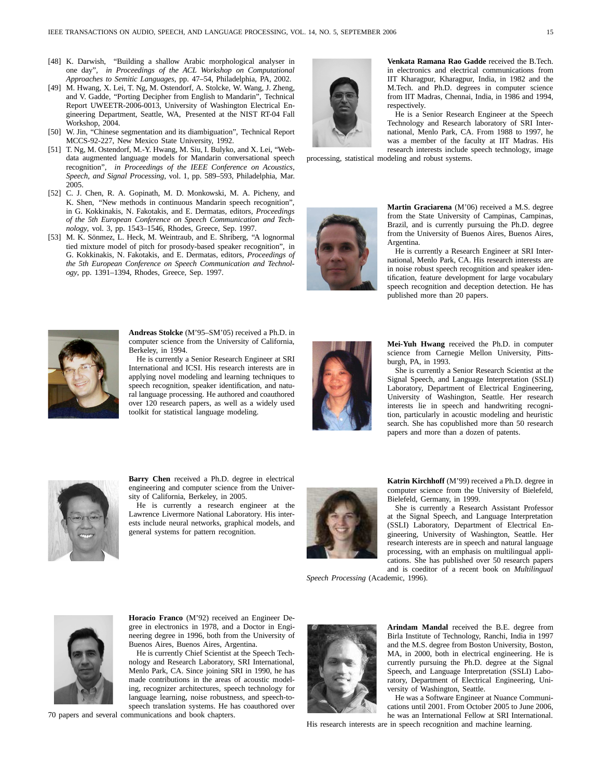- [48] K. Darwish, "Building a shallow Arabic morphological analyser in one day", *in Proceedings of the ACL Workshop on Computational Approaches to Semitic Languages*, pp. 47–54, Philadelphia, PA, 2002.
- [49] M. Hwang, X. Lei, T. Ng, M. Ostendorf, A. Stolcke, W. Wang, J. Zheng, and V. Gadde, "Porting Decipher from English to Mandarin", Technical Report UWEETR-2006-0013, University of Washington Electrical Engineering Department, Seattle, WA, Presented at the NIST RT-04 Fall Workshop, 2004.
- [50] W. Jin, "Chinese segmentation and its diambiguation", Technical Report MCCS-92-227, New Mexico State University, 1992.
- [51] T. Ng, M. Ostendorf, M.-Y. Hwang, M. Siu, I. Bulyko, and X. Lei, "Webdata augmented language models for Mandarin conversational speech recognition", *in Proceedings of the IEEE Conference on Acoustics, Speech, and Signal Processing*, vol. 1, pp. 589–593, Philadelphia, Mar. 2005.
- [52] C. J. Chen, R. A. Gopinath, M. D. Monkowski, M. A. Picheny, and K. Shen, "New methods in continuous Mandarin speech recognition", in G. Kokkinakis, N. Fakotakis, and E. Dermatas, editors, *Proceedings of the 5th European Conference on Speech Communication and Technology*, vol. 3, pp. 1543–1546, Rhodes, Greece, Sep. 1997.
- [53] M. K. Sönmez, L. Heck, M. Weintraub, and E. Shriberg, "A lognormal tied mixture model of pitch for prosody-based speaker recognition", in G. Kokkinakis, N. Fakotakis, and E. Dermatas, editors, *Proceedings of the 5th European Conference on Speech Communication and Technology*, pp. 1391–1394, Rhodes, Greece, Sep. 1997.



**Venkata Ramana Rao Gadde** received the B.Tech. in electronics and electrical communications from IIT Kharagpur, Kharagpur, India, in 1982 and the M.Tech. and Ph.D. degrees in computer science from IIT Madras, Chennai, India, in 1986 and 1994, respectively.

He is a Senior Research Engineer at the Speech Technology and Research laboratory of SRI International, Menlo Park, CA. From 1988 to 1997, he was a member of the faculty at IIT Madras. His research interests include speech technology, image

processing, statistical modeling and robust systems.



**Martin Graciarena** (M'06) received a M.S. degree from the State University of Campinas, Campinas, Brazil, and is currently pursuing the Ph.D. degree from the University of Buenos Aires, Buenos Aires, Argentina.

He is currently a Research Engineer at SRI International, Menlo Park, CA. His research interests are in noise robust speech recognition and speaker identification, feature development for large vocabulary speech recognition and deception detection. He has published more than 20 papers.



**Andreas Stolcke** (M'95–SM'05) received a Ph.D. in computer science from the University of California, Berkeley, in 1994.

He is currently a Senior Research Engineer at SRI International and ICSI. His research interests are in applying novel modeling and learning techniques to speech recognition, speaker identification, and natural language processing. He authored and coauthored over 120 research papers, as well as a widely used toolkit for statistical language modeling.



**Mei-Yuh Hwang** received the Ph.D. in computer science from Carnegie Mellon University, Pittsburgh, PA, in 1993.

She is currently a Senior Research Scientist at the Signal Speech, and Language Interpretation (SSLI) Laboratory, Department of Electrical Engineering, University of Washington, Seattle. Her research interests lie in speech and handwriting recognition, particularly in acoustic modeling and heuristic search. She has copublished more than 50 research papers and more than a dozen of patents.



**Barry Chen** received a Ph.D. degree in electrical engineering and computer science from the University of California, Berkeley, in 2005.

He is currently a research engineer at the Lawrence Livermore National Laboratory. His interests include neural networks, graphical models, and general systems for pattern recognition.



**Katrin Kirchhoff** (M'99) received a Ph.D. degree in computer science from the University of Bielefeld, Bielefeld, Germany, in 1999.

She is currently a Research Assistant Professor at the Signal Speech, and Language Interpretation (SSLI) Laboratory, Department of Electrical Engineering, University of Washington, Seattle. Her research interests are in speech and natural language processing, with an emphasis on multilingual applications. She has published over 50 research papers and is coeditor of a recent book on *Multilingual*

*Speech Processing* (Academic, 1996).



**Horacio Franco** (M'92) received an Engineer Degree in electronics in 1978, and a Doctor in Engineering degree in 1996, both from the University of Buenos Aires, Buenos Aires, Argentina.

He is currently Chief Scientist at the Speech Technology and Research Laboratory, SRI International, Menlo Park, CA. Since joining SRI in 1990, he has made contributions in the areas of acoustic modeling, recognizer architectures, speech technology for language learning, noise robustness, and speech-tospeech translation systems. He has coauthored over





**Arindam Mandal** received the B.E. degree from Birla Institute of Technology, Ranchi, India in 1997 and the M.S. degree from Boston University, Boston, MA, in 2000, both in electrical engineering. He is currently pursuing the Ph.D. degree at the Signal Speech, and Language Interpretation (SSLI) Laboratory, Department of Electrical Engineering, University of Washington, Seattle.

He was a Software Engineer at Nuance Communications until 2001. From October 2005 to June 2006, he was an International Fellow at SRI International.

His research interests are in speech recognition and machine learning.